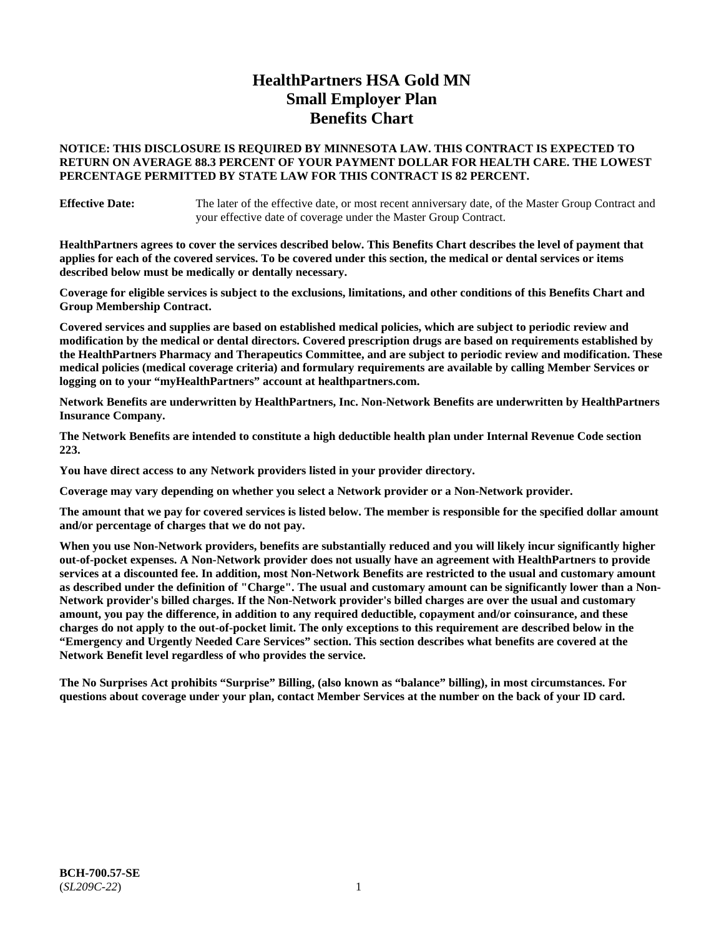# **HealthPartners HSA Gold MN Small Employer Plan Benefits Chart**

### **NOTICE: THIS DISCLOSURE IS REQUIRED BY MINNESOTA LAW. THIS CONTRACT IS EXPECTED TO RETURN ON AVERAGE 88.3 PERCENT OF YOUR PAYMENT DOLLAR FOR HEALTH CARE. THE LOWEST PERCENTAGE PERMITTED BY STATE LAW FOR THIS CONTRACT IS 82 PERCENT.**

**Effective Date:** The later of the effective date, or most recent anniversary date, of the Master Group Contract and your effective date of coverage under the Master Group Contract.

**HealthPartners agrees to cover the services described below. This Benefits Chart describes the level of payment that applies for each of the covered services. To be covered under this section, the medical or dental services or items described below must be medically or dentally necessary.**

**Coverage for eligible services is subject to the exclusions, limitations, and other conditions of this Benefits Chart and Group Membership Contract.**

**Covered services and supplies are based on established medical policies, which are subject to periodic review and modification by the medical or dental directors. Covered prescription drugs are based on requirements established by the HealthPartners Pharmacy and Therapeutics Committee, and are subject to periodic review and modification. These medical policies (medical coverage criteria) and formulary requirements are available by calling Member Services or logging on to your "myHealthPartners" account at [healthpartners.com.](https://www.healthpartners.com/hp/index.html)**

**Network Benefits are underwritten by HealthPartners, Inc. Non-Network Benefits are underwritten by HealthPartners Insurance Company.** 

**The Network Benefits are intended to constitute a high deductible health plan under Internal Revenue Code section 223.** 

**You have direct access to any Network providers listed in your provider directory.**

**Coverage may vary depending on whether you select a Network provider or a Non-Network provider.**

**The amount that we pay for covered services is listed below. The member is responsible for the specified dollar amount and/or percentage of charges that we do not pay.**

**When you use Non-Network providers, benefits are substantially reduced and you will likely incur significantly higher out-of-pocket expenses. A Non-Network provider does not usually have an agreement with HealthPartners to provide services at a discounted fee. In addition, most Non-Network Benefits are restricted to the usual and customary amount as described under the definition of "Charge". The usual and customary amount can be significantly lower than a Non-Network provider's billed charges. If the Non-Network provider's billed charges are over the usual and customary amount, you pay the difference, in addition to any required deductible, copayment and/or coinsurance, and these charges do not apply to the out-of-pocket limit. The only exceptions to this requirement are described below in the "Emergency and Urgently Needed Care Services" section. This section describes what benefits are covered at the Network Benefit level regardless of who provides the service.**

**The No Surprises Act prohibits "Surprise" Billing, (also known as "balance" billing), in most circumstances. For questions about coverage under your plan, contact Member Services at the number on the back of your ID card.**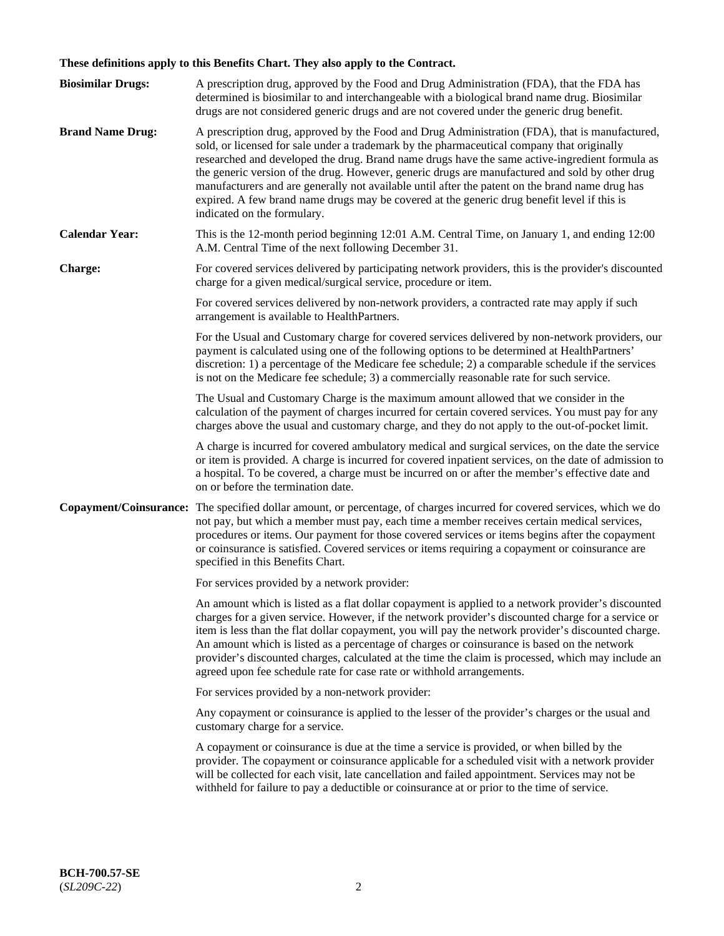# **These definitions apply to this Benefits Chart. They also apply to the Contract.**

| <b>Biosimilar Drugs:</b> | A prescription drug, approved by the Food and Drug Administration (FDA), that the FDA has<br>determined is biosimilar to and interchangeable with a biological brand name drug. Biosimilar<br>drugs are not considered generic drugs and are not covered under the generic drug benefit.                                                                                                                                                                                                                                                                                                                                           |
|--------------------------|------------------------------------------------------------------------------------------------------------------------------------------------------------------------------------------------------------------------------------------------------------------------------------------------------------------------------------------------------------------------------------------------------------------------------------------------------------------------------------------------------------------------------------------------------------------------------------------------------------------------------------|
| <b>Brand Name Drug:</b>  | A prescription drug, approved by the Food and Drug Administration (FDA), that is manufactured,<br>sold, or licensed for sale under a trademark by the pharmaceutical company that originally<br>researched and developed the drug. Brand name drugs have the same active-ingredient formula as<br>the generic version of the drug. However, generic drugs are manufactured and sold by other drug<br>manufacturers and are generally not available until after the patent on the brand name drug has<br>expired. A few brand name drugs may be covered at the generic drug benefit level if this is<br>indicated on the formulary. |
| <b>Calendar Year:</b>    | This is the 12-month period beginning 12:01 A.M. Central Time, on January 1, and ending 12:00<br>A.M. Central Time of the next following December 31.                                                                                                                                                                                                                                                                                                                                                                                                                                                                              |
| <b>Charge:</b>           | For covered services delivered by participating network providers, this is the provider's discounted<br>charge for a given medical/surgical service, procedure or item.                                                                                                                                                                                                                                                                                                                                                                                                                                                            |
|                          | For covered services delivered by non-network providers, a contracted rate may apply if such<br>arrangement is available to HealthPartners.                                                                                                                                                                                                                                                                                                                                                                                                                                                                                        |
|                          | For the Usual and Customary charge for covered services delivered by non-network providers, our<br>payment is calculated using one of the following options to be determined at HealthPartners'<br>discretion: 1) a percentage of the Medicare fee schedule; 2) a comparable schedule if the services<br>is not on the Medicare fee schedule; 3) a commercially reasonable rate for such service.                                                                                                                                                                                                                                  |
|                          | The Usual and Customary Charge is the maximum amount allowed that we consider in the<br>calculation of the payment of charges incurred for certain covered services. You must pay for any<br>charges above the usual and customary charge, and they do not apply to the out-of-pocket limit.                                                                                                                                                                                                                                                                                                                                       |
|                          | A charge is incurred for covered ambulatory medical and surgical services, on the date the service<br>or item is provided. A charge is incurred for covered inpatient services, on the date of admission to<br>a hospital. To be covered, a charge must be incurred on or after the member's effective date and<br>on or before the termination date.                                                                                                                                                                                                                                                                              |
| Copayment/Coinsurance:   | The specified dollar amount, or percentage, of charges incurred for covered services, which we do<br>not pay, but which a member must pay, each time a member receives certain medical services,<br>procedures or items. Our payment for those covered services or items begins after the copayment<br>or coinsurance is satisfied. Covered services or items requiring a copayment or coinsurance are<br>specified in this Benefits Chart.                                                                                                                                                                                        |
|                          | For services provided by a network provider:                                                                                                                                                                                                                                                                                                                                                                                                                                                                                                                                                                                       |
|                          | An amount which is listed as a flat dollar copayment is applied to a network provider's discounted<br>charges for a given service. However, if the network provider's discounted charge for a service or<br>item is less than the flat dollar copayment, you will pay the network provider's discounted charge.<br>An amount which is listed as a percentage of charges or coinsurance is based on the network<br>provider's discounted charges, calculated at the time the claim is processed, which may include an<br>agreed upon fee schedule rate for case rate or withhold arrangements.                                      |
|                          | For services provided by a non-network provider:                                                                                                                                                                                                                                                                                                                                                                                                                                                                                                                                                                                   |
|                          | Any copayment or coinsurance is applied to the lesser of the provider's charges or the usual and<br>customary charge for a service.                                                                                                                                                                                                                                                                                                                                                                                                                                                                                                |
|                          | A copayment or coinsurance is due at the time a service is provided, or when billed by the<br>provider. The copayment or coinsurance applicable for a scheduled visit with a network provider<br>will be collected for each visit, late cancellation and failed appointment. Services may not be<br>withheld for failure to pay a deductible or coinsurance at or prior to the time of service.                                                                                                                                                                                                                                    |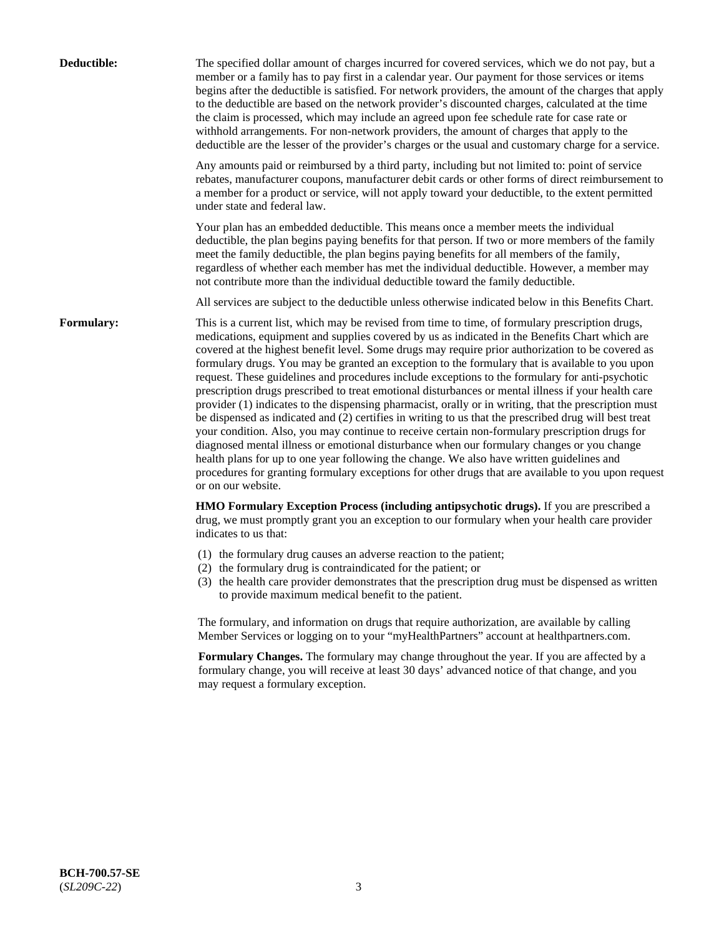| Deductible: | The specified dollar amount of charges incurred for covered services, which we do not pay, but a<br>member or a family has to pay first in a calendar year. Our payment for those services or items<br>begins after the deductible is satisfied. For network providers, the amount of the charges that apply<br>to the deductible are based on the network provider's discounted charges, calculated at the time<br>the claim is processed, which may include an agreed upon fee schedule rate for case rate or<br>withhold arrangements. For non-network providers, the amount of charges that apply to the<br>deductible are the lesser of the provider's charges or the usual and customary charge for a service.                                                                                                                                                                                                                                                                                                                                                                                                                                                                                                                                             |
|-------------|------------------------------------------------------------------------------------------------------------------------------------------------------------------------------------------------------------------------------------------------------------------------------------------------------------------------------------------------------------------------------------------------------------------------------------------------------------------------------------------------------------------------------------------------------------------------------------------------------------------------------------------------------------------------------------------------------------------------------------------------------------------------------------------------------------------------------------------------------------------------------------------------------------------------------------------------------------------------------------------------------------------------------------------------------------------------------------------------------------------------------------------------------------------------------------------------------------------------------------------------------------------|
|             | Any amounts paid or reimbursed by a third party, including but not limited to: point of service<br>rebates, manufacturer coupons, manufacturer debit cards or other forms of direct reimbursement to<br>a member for a product or service, will not apply toward your deductible, to the extent permitted<br>under state and federal law.                                                                                                                                                                                                                                                                                                                                                                                                                                                                                                                                                                                                                                                                                                                                                                                                                                                                                                                        |
|             | Your plan has an embedded deductible. This means once a member meets the individual<br>deductible, the plan begins paying benefits for that person. If two or more members of the family<br>meet the family deductible, the plan begins paying benefits for all members of the family,<br>regardless of whether each member has met the individual deductible. However, a member may<br>not contribute more than the individual deductible toward the family deductible.                                                                                                                                                                                                                                                                                                                                                                                                                                                                                                                                                                                                                                                                                                                                                                                         |
|             | All services are subject to the deductible unless otherwise indicated below in this Benefits Chart.                                                                                                                                                                                                                                                                                                                                                                                                                                                                                                                                                                                                                                                                                                                                                                                                                                                                                                                                                                                                                                                                                                                                                              |
| Formulary:  | This is a current list, which may be revised from time to time, of formulary prescription drugs,<br>medications, equipment and supplies covered by us as indicated in the Benefits Chart which are<br>covered at the highest benefit level. Some drugs may require prior authorization to be covered as<br>formulary drugs. You may be granted an exception to the formulary that is available to you upon<br>request. These guidelines and procedures include exceptions to the formulary for anti-psychotic<br>prescription drugs prescribed to treat emotional disturbances or mental illness if your health care<br>provider (1) indicates to the dispensing pharmacist, orally or in writing, that the prescription must<br>be dispensed as indicated and (2) certifies in writing to us that the prescribed drug will best treat<br>your condition. Also, you may continue to receive certain non-formulary prescription drugs for<br>diagnosed mental illness or emotional disturbance when our formulary changes or you change<br>health plans for up to one year following the change. We also have written guidelines and<br>procedures for granting formulary exceptions for other drugs that are available to you upon request<br>or on our website. |
|             | HMO Formulary Exception Process (including antipsychotic drugs). If you are prescribed a<br>drug, we must promptly grant you an exception to our formulary when your health care provider<br>indicates to us that:                                                                                                                                                                                                                                                                                                                                                                                                                                                                                                                                                                                                                                                                                                                                                                                                                                                                                                                                                                                                                                               |
|             | (1) the formulary drug causes an adverse reaction to the patient;<br>(2) the formulary drug is contraindicated for the patient; or<br>(3) the health care provider demonstrates that the prescription drug must be dispensed as written<br>to provide maximum medical benefit to the patient.                                                                                                                                                                                                                                                                                                                                                                                                                                                                                                                                                                                                                                                                                                                                                                                                                                                                                                                                                                    |
|             | The formulary, and information on drugs that require authorization, are available by calling<br>Member Services or logging on to your "myHealthPartners" account at healthpartners.com.                                                                                                                                                                                                                                                                                                                                                                                                                                                                                                                                                                                                                                                                                                                                                                                                                                                                                                                                                                                                                                                                          |
|             | Formulary Changes. The formulary may change throughout the year. If you are affected by a<br>formulary change, you will receive at least 30 days' advanced notice of that change, and you<br>may request a formulary exception.                                                                                                                                                                                                                                                                                                                                                                                                                                                                                                                                                                                                                                                                                                                                                                                                                                                                                                                                                                                                                                  |
|             |                                                                                                                                                                                                                                                                                                                                                                                                                                                                                                                                                                                                                                                                                                                                                                                                                                                                                                                                                                                                                                                                                                                                                                                                                                                                  |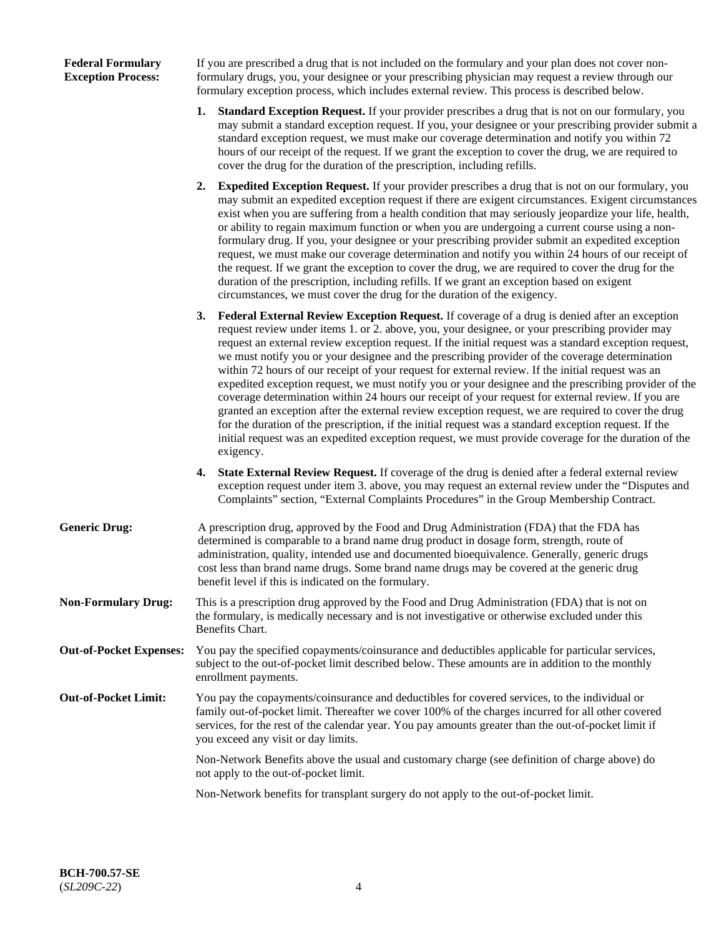### **Federal Formulary Exception Process:**

If you are prescribed a drug that is not included on the formulary and your plan does not cover nonformulary drugs, you, your designee or your prescribing physician may request a review through our formulary exception process, which includes external review. This process is described below.

- **1. Standard Exception Request.** If your provider prescribes a drug that is not on our formulary, you may submit a standard exception request. If you, your designee or your prescribing provider submit a standard exception request, we must make our coverage determination and notify you within 72 hours of our receipt of the request. If we grant the exception to cover the drug, we are required to cover the drug for the duration of the prescription, including refills.
- **2. Expedited Exception Request.** If your provider prescribes a drug that is not on our formulary, you may submit an expedited exception request if there are exigent circumstances. Exigent circumstances exist when you are suffering from a health condition that may seriously jeopardize your life, health, or ability to regain maximum function or when you are undergoing a current course using a nonformulary drug. If you, your designee or your prescribing provider submit an expedited exception request, we must make our coverage determination and notify you within 24 hours of our receipt of the request. If we grant the exception to cover the drug, we are required to cover the drug for the duration of the prescription, including refills. If we grant an exception based on exigent circumstances, we must cover the drug for the duration of the exigency.
- **3. Federal External Review Exception Request.** If coverage of a drug is denied after an exception request review under items 1. or 2. above, you, your designee, or your prescribing provider may request an external review exception request. If the initial request was a standard exception request, we must notify you or your designee and the prescribing provider of the coverage determination within 72 hours of our receipt of your request for external review. If the initial request was an expedited exception request, we must notify you or your designee and the prescribing provider of the coverage determination within 24 hours our receipt of your request for external review. If you are granted an exception after the external review exception request, we are required to cover the drug for the duration of the prescription, if the initial request was a standard exception request. If the initial request was an expedited exception request, we must provide coverage for the duration of the exigency.
- **4. State External Review Request.** If coverage of the drug is denied after a federal external review exception request under item 3. above, you may request an external review under the "Disputes and Complaints" section, "External Complaints Procedures" in the Group Membership Contract.
- **Generic Drug:** A prescription drug, approved by the Food and Drug Administration (FDA) that the FDA has determined is comparable to a brand name drug product in dosage form, strength, route of administration, quality, intended use and documented bioequivalence. Generally, generic drugs cost less than brand name drugs. Some brand name drugs may be covered at the generic drug benefit level if this is indicated on the formulary.
- **Non-Formulary Drug:** This is a prescription drug approved by the Food and Drug Administration (FDA) that is not on the formulary, is medically necessary and is not investigative or otherwise excluded under this Benefits Chart.
- **Out-of-Pocket Expenses:** You pay the specified copayments/coinsurance and deductibles applicable for particular services, subject to the out-of-pocket limit described below. These amounts are in addition to the monthly enrollment payments.
- **Out-of-Pocket Limit:** You pay the copayments/coinsurance and deductibles for covered services, to the individual or family out-of-pocket limit. Thereafter we cover 100% of the charges incurred for all other covered services, for the rest of the calendar year. You pay amounts greater than the out-of-pocket limit if you exceed any visit or day limits.

Non-Network Benefits above the usual and customary charge (see definition of charge above) do not apply to the out-of-pocket limit.

Non-Network benefits for transplant surgery do not apply to the out-of-pocket limit.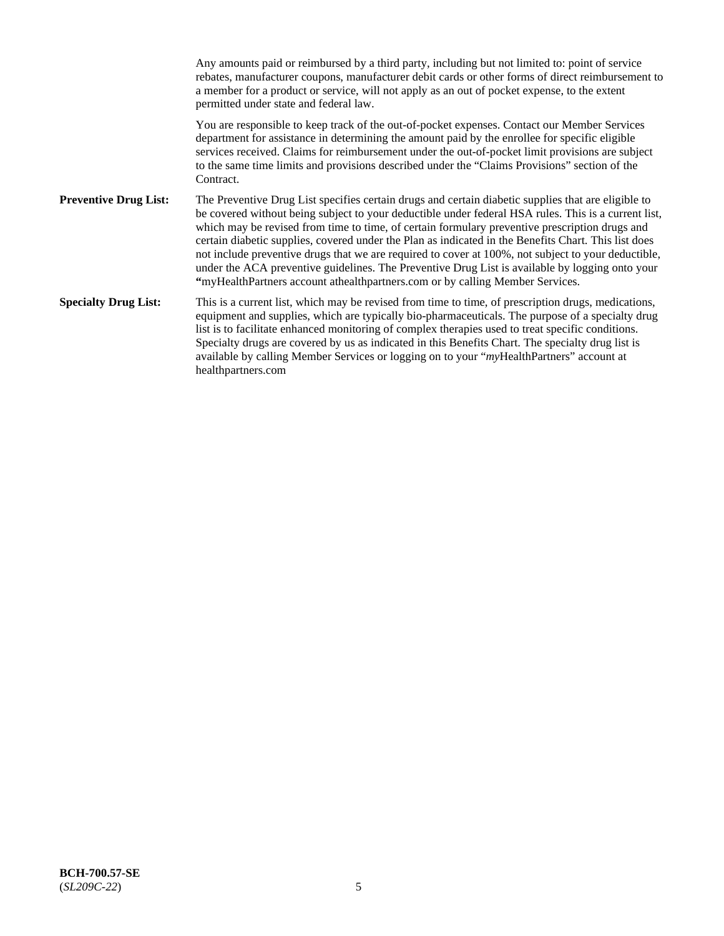Any amounts paid or reimbursed by a third party, including but not limited to: point of service rebates, manufacturer coupons, manufacturer debit cards or other forms of direct reimbursement to a member for a product or service, will not apply as an out of pocket expense, to the extent permitted under state and federal law. You are responsible to keep track of the out-of-pocket expenses. Contact our Member Services department for assistance in determining the amount paid by the enrollee for specific eligible services received. Claims for reimbursement under the out-of-pocket limit provisions are subject to the same time limits and provisions described under the "Claims Provisions" section of the **Contract Preventive Drug List:** The Preventive Drug List specifies certain drugs and certain diabetic supplies that are eligible to be covered without being subject to your deductible under federal HSA rules. This is a current list, which may be revised from time to time, of certain formulary preventive prescription drugs and certain diabetic supplies, covered under the Plan as indicated in the Benefits Chart. This list does not include preventive drugs that we are required to cover at 100%, not subject to your deductible, under the ACA preventive guidelines. The Preventive Drug List is available by logging onto your **"**myHealthPartners account athealthpartners.com or by calling Member Services. **Specialty Drug List:** This is a current list, which may be revised from time to time, of prescription drugs, medications, equipment and supplies, which are typically bio-pharmaceuticals. The purpose of a specialty drug list is to facilitate enhanced monitoring of complex therapies used to treat specific conditions. Specialty drugs are covered by us as indicated in this Benefits Chart. The specialty drug list is available by calling Member Services or logging on to your "*my*HealthPartners" account at [healthpartners.com](https://www.healthpartners.com/hp/index.html)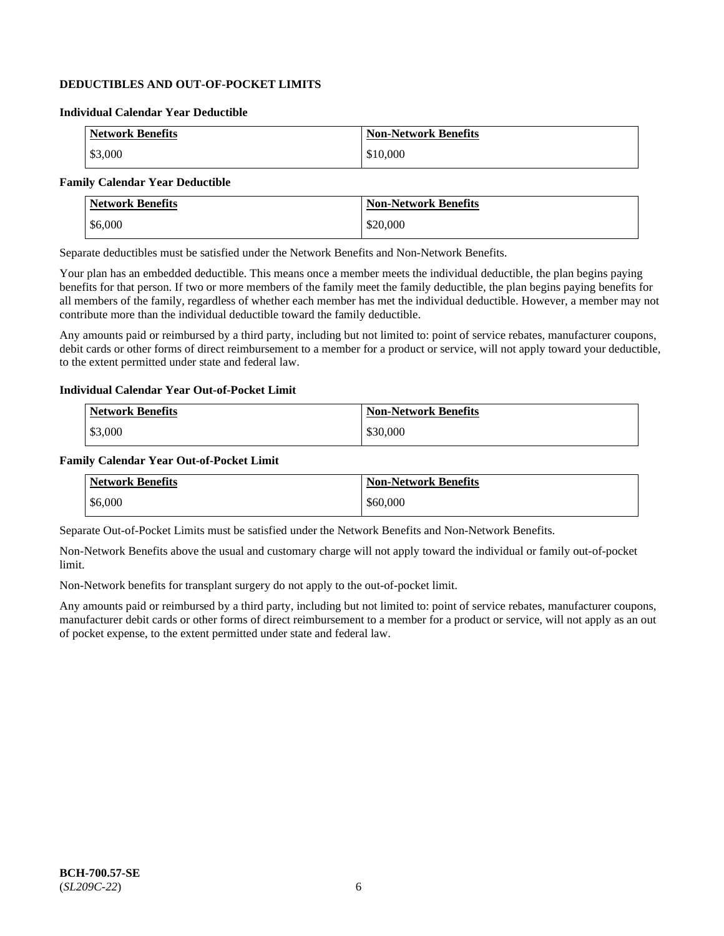## **DEDUCTIBLES AND OUT-OF-POCKET LIMITS**

### **Individual Calendar Year Deductible**

| <b>Network Benefits</b> | <b>Non-Network Benefits</b> |
|-------------------------|-----------------------------|
| \$3,000                 | \$10,000                    |

### **Family Calendar Year Deductible**

| <b>Network Benefits</b> | <b>Non-Network Benefits</b> |
|-------------------------|-----------------------------|
| \$6,000                 | \$20,000                    |

Separate deductibles must be satisfied under the Network Benefits and Non-Network Benefits.

Your plan has an embedded deductible. This means once a member meets the individual deductible, the plan begins paying benefits for that person. If two or more members of the family meet the family deductible, the plan begins paying benefits for all members of the family, regardless of whether each member has met the individual deductible. However, a member may not contribute more than the individual deductible toward the family deductible.

Any amounts paid or reimbursed by a third party, including but not limited to: point of service rebates, manufacturer coupons, debit cards or other forms of direct reimbursement to a member for a product or service, will not apply toward your deductible, to the extent permitted under state and federal law.

#### **Individual Calendar Year Out-of-Pocket Limit**

| <b>Network Benefits</b> | <b>Non-Network Benefits</b> |
|-------------------------|-----------------------------|
| \$3,000                 | \$30,000                    |

#### **Family Calendar Year Out-of-Pocket Limit**

| <b>Network Benefits</b> | <b>Non-Network Benefits</b> |
|-------------------------|-----------------------------|
| \$6,000                 | \$60,000                    |

Separate Out-of-Pocket Limits must be satisfied under the Network Benefits and Non-Network Benefits.

Non-Network Benefits above the usual and customary charge will not apply toward the individual or family out-of-pocket limit.

Non-Network benefits for transplant surgery do not apply to the out-of-pocket limit.

Any amounts paid or reimbursed by a third party, including but not limited to: point of service rebates, manufacturer coupons, manufacturer debit cards or other forms of direct reimbursement to a member for a product or service, will not apply as an out of pocket expense, to the extent permitted under state and federal law.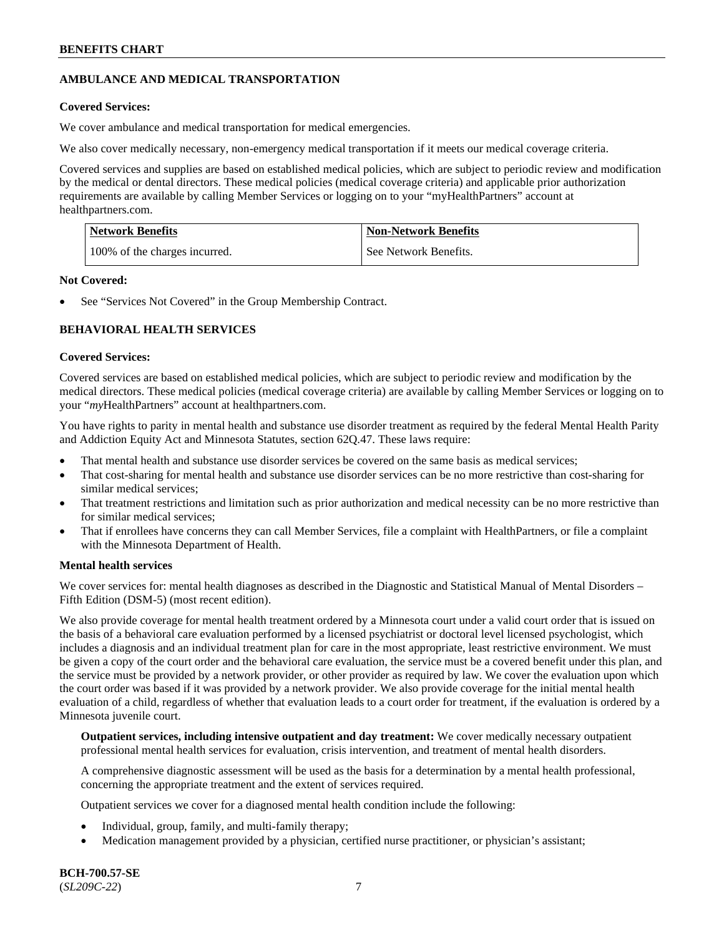## **AMBULANCE AND MEDICAL TRANSPORTATION**

### **Covered Services:**

We cover ambulance and medical transportation for medical emergencies.

We also cover medically necessary, non-emergency medical transportation if it meets our medical coverage criteria.

Covered services and supplies are based on established medical policies, which are subject to periodic review and modification by the medical or dental directors. These medical policies (medical coverage criteria) and applicable prior authorization requirements are available by calling Member Services or logging on to your "myHealthPartners" account at [healthpartners.com.](https://www.healthpartners.com/hp/index.html)

| <b>Network Benefits</b>       | <b>Non-Network Benefits</b> |
|-------------------------------|-----------------------------|
| 100% of the charges incurred. | See Network Benefits.       |

#### **Not Covered:**

See "Services Not Covered" in the Group Membership Contract.

## **BEHAVIORAL HEALTH SERVICES**

#### **Covered Services:**

Covered services are based on established medical policies, which are subject to periodic review and modification by the medical directors. These medical policies (medical coverage criteria) are available by calling Member Services or logging on to your "*my*HealthPartners" account at [healthpartners.com.](http://www.healthpartners.com/)

You have rights to parity in mental health and substance use disorder treatment as required by the federal Mental Health Parity and Addiction Equity Act and Minnesota Statutes, section 62Q.47. These laws require:

- That mental health and substance use disorder services be covered on the same basis as medical services;
- That cost-sharing for mental health and substance use disorder services can be no more restrictive than cost-sharing for similar medical services;
- That treatment restrictions and limitation such as prior authorization and medical necessity can be no more restrictive than for similar medical services;
- That if enrollees have concerns they can call Member Services, file a complaint with HealthPartners, or file a complaint with the Minnesota Department of Health.

### **Mental health services**

We cover services for: mental health diagnoses as described in the Diagnostic and Statistical Manual of Mental Disorders – Fifth Edition (DSM-5) (most recent edition).

We also provide coverage for mental health treatment ordered by a Minnesota court under a valid court order that is issued on the basis of a behavioral care evaluation performed by a licensed psychiatrist or doctoral level licensed psychologist, which includes a diagnosis and an individual treatment plan for care in the most appropriate, least restrictive environment. We must be given a copy of the court order and the behavioral care evaluation, the service must be a covered benefit under this plan, and the service must be provided by a network provider, or other provider as required by law. We cover the evaluation upon which the court order was based if it was provided by a network provider. We also provide coverage for the initial mental health evaluation of a child, regardless of whether that evaluation leads to a court order for treatment, if the evaluation is ordered by a Minnesota juvenile court.

**Outpatient services, including intensive outpatient and day treatment:** We cover medically necessary outpatient professional mental health services for evaluation, crisis intervention, and treatment of mental health disorders.

A comprehensive diagnostic assessment will be used as the basis for a determination by a mental health professional, concerning the appropriate treatment and the extent of services required.

Outpatient services we cover for a diagnosed mental health condition include the following:

- Individual, group, family, and multi-family therapy;
- Medication management provided by a physician, certified nurse practitioner, or physician's assistant;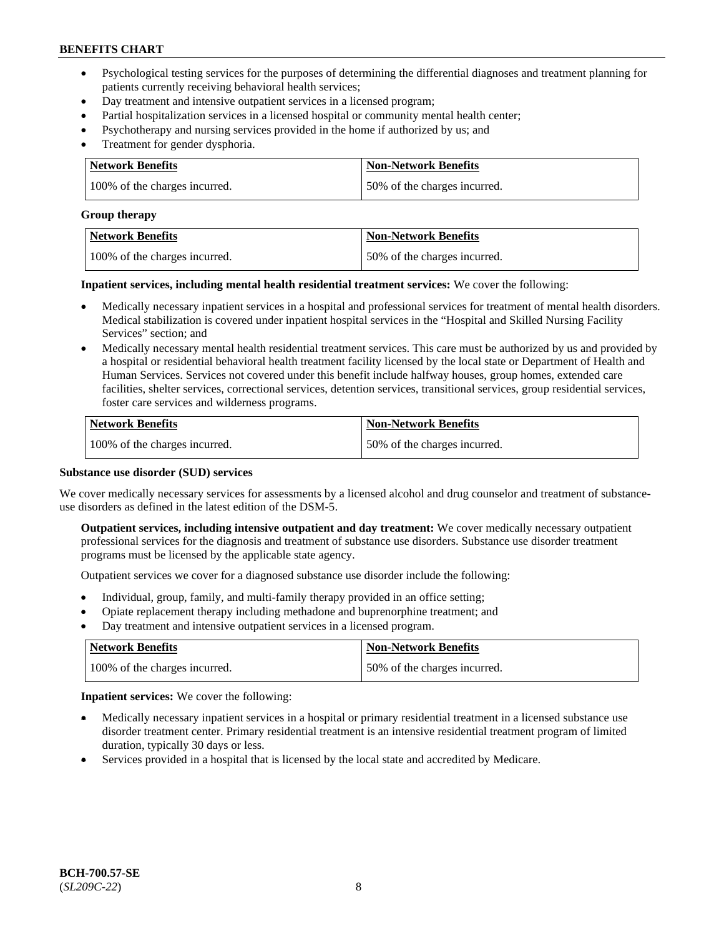- Psychological testing services for the purposes of determining the differential diagnoses and treatment planning for patients currently receiving behavioral health services;
- Day treatment and intensive outpatient services in a licensed program;
- Partial hospitalization services in a licensed hospital or community mental health center;
- Psychotherapy and nursing services provided in the home if authorized by us; and
- Treatment for gender dysphoria.

| Network Benefits              | <b>Non-Network Benefits</b>  |
|-------------------------------|------------------------------|
| 100% of the charges incurred. | 50% of the charges incurred. |

#### **Group therapy**

| Network Benefits              | <b>Non-Network Benefits</b>  |
|-------------------------------|------------------------------|
| 100% of the charges incurred. | 50% of the charges incurred. |

**Inpatient services, including mental health residential treatment services:** We cover the following:

- Medically necessary inpatient services in a hospital and professional services for treatment of mental health disorders. Medical stabilization is covered under inpatient hospital services in the "Hospital and Skilled Nursing Facility Services" section; and
- Medically necessary mental health residential treatment services. This care must be authorized by us and provided by a hospital or residential behavioral health treatment facility licensed by the local state or Department of Health and Human Services. Services not covered under this benefit include halfway houses, group homes, extended care facilities, shelter services, correctional services, detention services, transitional services, group residential services, foster care services and wilderness programs.

| <b>Network Benefits</b>       | <b>Non-Network Benefits</b>  |
|-------------------------------|------------------------------|
| 100% of the charges incurred. | 50% of the charges incurred. |

### **Substance use disorder (SUD) services**

We cover medically necessary services for assessments by a licensed alcohol and drug counselor and treatment of substanceuse disorders as defined in the latest edition of the DSM-5.

**Outpatient services, including intensive outpatient and day treatment:** We cover medically necessary outpatient professional services for the diagnosis and treatment of substance use disorders. Substance use disorder treatment programs must be licensed by the applicable state agency.

Outpatient services we cover for a diagnosed substance use disorder include the following:

- Individual, group, family, and multi-family therapy provided in an office setting;
- Opiate replacement therapy including methadone and buprenorphine treatment; and
- Day treatment and intensive outpatient services in a licensed program.

| Network Benefits              | <b>Non-Network Benefits</b>  |
|-------------------------------|------------------------------|
| 100% of the charges incurred. | 50% of the charges incurred. |

**Inpatient services:** We cover the following:

- Medically necessary inpatient services in a hospital or primary residential treatment in a licensed substance use disorder treatment center. Primary residential treatment is an intensive residential treatment program of limited duration, typically 30 days or less.
- Services provided in a hospital that is licensed by the local state and accredited by Medicare.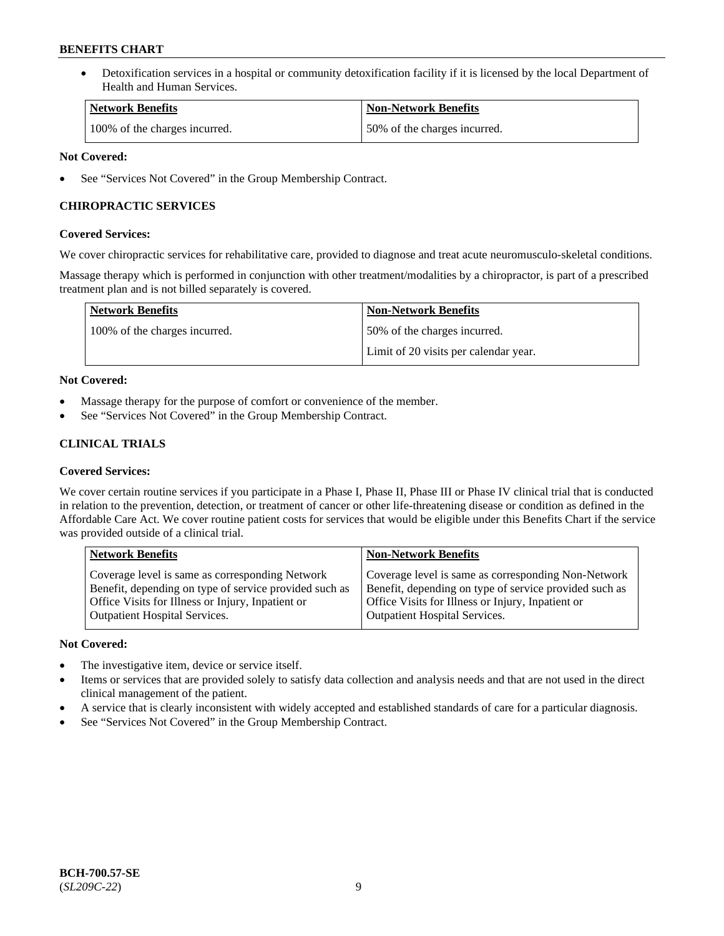• Detoxification services in a hospital or community detoxification facility if it is licensed by the local Department of Health and Human Services.

| <b>Network Benefits</b>       | <b>Non-Network Benefits</b>  |
|-------------------------------|------------------------------|
| 100% of the charges incurred. | 50% of the charges incurred. |

### **Not Covered:**

See "Services Not Covered" in the Group Membership Contract.

## **CHIROPRACTIC SERVICES**

### **Covered Services:**

We cover chiropractic services for rehabilitative care, provided to diagnose and treat acute neuromusculo-skeletal conditions.

Massage therapy which is performed in conjunction with other treatment/modalities by a chiropractor, is part of a prescribed treatment plan and is not billed separately is covered.

| <b>Network Benefits</b>       | <b>Non-Network Benefits</b>           |
|-------------------------------|---------------------------------------|
| 100% of the charges incurred. | 50% of the charges incurred.          |
|                               | Limit of 20 visits per calendar year. |

### **Not Covered:**

- Massage therapy for the purpose of comfort or convenience of the member.
- See "Services Not Covered" in the Group Membership Contract.

## **CLINICAL TRIALS**

### **Covered Services:**

We cover certain routine services if you participate in a Phase I, Phase II, Phase III or Phase IV clinical trial that is conducted in relation to the prevention, detection, or treatment of cancer or other life-threatening disease or condition as defined in the Affordable Care Act. We cover routine patient costs for services that would be eligible under this Benefits Chart if the service was provided outside of a clinical trial.

| <b>Network Benefits</b>                                | <b>Non-Network Benefits</b>                            |
|--------------------------------------------------------|--------------------------------------------------------|
| Coverage level is same as corresponding Network        | Coverage level is same as corresponding Non-Network    |
| Benefit, depending on type of service provided such as | Benefit, depending on type of service provided such as |
| Office Visits for Illness or Injury, Inpatient or      | Office Visits for Illness or Injury, Inpatient or      |
| <b>Outpatient Hospital Services.</b>                   | Outpatient Hospital Services.                          |

### **Not Covered:**

- The investigative item, device or service itself.
- Items or services that are provided solely to satisfy data collection and analysis needs and that are not used in the direct clinical management of the patient.
- A service that is clearly inconsistent with widely accepted and established standards of care for a particular diagnosis.
- See "Services Not Covered" in the Group Membership Contract.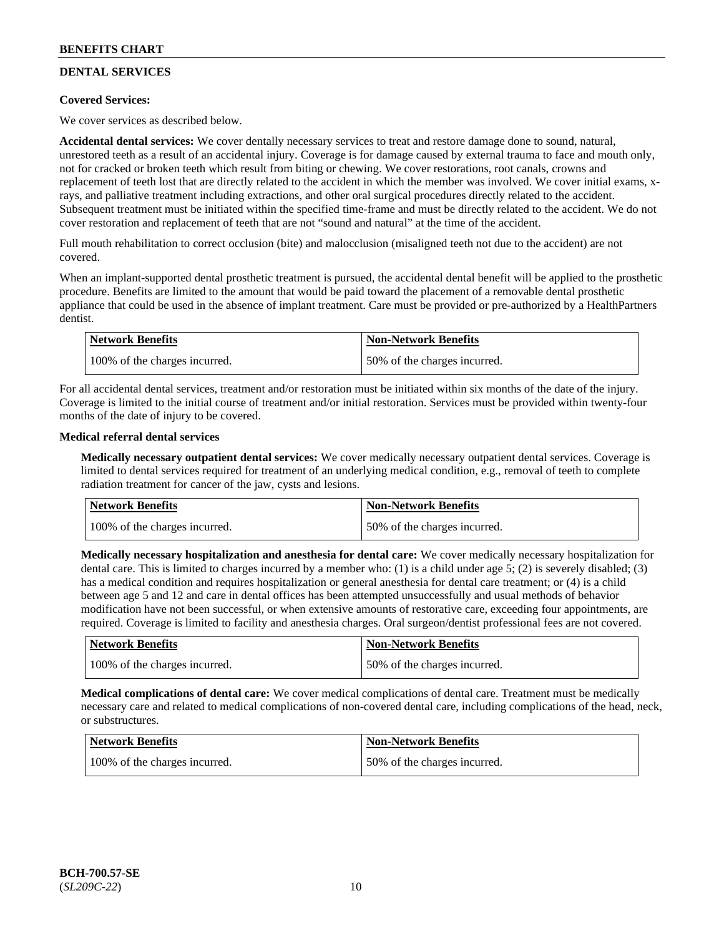## **DENTAL SERVICES**

### **Covered Services:**

We cover services as described below.

**Accidental dental services:** We cover dentally necessary services to treat and restore damage done to sound, natural, unrestored teeth as a result of an accidental injury. Coverage is for damage caused by external trauma to face and mouth only, not for cracked or broken teeth which result from biting or chewing. We cover restorations, root canals, crowns and replacement of teeth lost that are directly related to the accident in which the member was involved. We cover initial exams, xrays, and palliative treatment including extractions, and other oral surgical procedures directly related to the accident. Subsequent treatment must be initiated within the specified time-frame and must be directly related to the accident. We do not cover restoration and replacement of teeth that are not "sound and natural" at the time of the accident.

Full mouth rehabilitation to correct occlusion (bite) and malocclusion (misaligned teeth not due to the accident) are not covered.

When an implant-supported dental prosthetic treatment is pursued, the accidental dental benefit will be applied to the prosthetic procedure. Benefits are limited to the amount that would be paid toward the placement of a removable dental prosthetic appliance that could be used in the absence of implant treatment. Care must be provided or pre-authorized by a HealthPartners dentist.

| Network Benefits              | <b>Non-Network Benefits</b>  |
|-------------------------------|------------------------------|
| 100% of the charges incurred. | 50% of the charges incurred. |

For all accidental dental services, treatment and/or restoration must be initiated within six months of the date of the injury. Coverage is limited to the initial course of treatment and/or initial restoration. Services must be provided within twenty-four months of the date of injury to be covered.

### **Medical referral dental services**

**Medically necessary outpatient dental services:** We cover medically necessary outpatient dental services. Coverage is limited to dental services required for treatment of an underlying medical condition, e.g., removal of teeth to complete radiation treatment for cancer of the jaw, cysts and lesions.

| Network Benefits              | <b>Non-Network Benefits</b>  |
|-------------------------------|------------------------------|
| 100% of the charges incurred. | 50% of the charges incurred. |

**Medically necessary hospitalization and anesthesia for dental care:** We cover medically necessary hospitalization for dental care. This is limited to charges incurred by a member who: (1) is a child under age 5; (2) is severely disabled; (3) has a medical condition and requires hospitalization or general anesthesia for dental care treatment; or (4) is a child between age 5 and 12 and care in dental offices has been attempted unsuccessfully and usual methods of behavior modification have not been successful, or when extensive amounts of restorative care, exceeding four appointments, are required. Coverage is limited to facility and anesthesia charges. Oral surgeon/dentist professional fees are not covered.

| <b>Network Benefits</b>       | <b>Non-Network Benefits</b>  |
|-------------------------------|------------------------------|
| 100% of the charges incurred. | 50% of the charges incurred. |

**Medical complications of dental care:** We cover medical complications of dental care. Treatment must be medically necessary care and related to medical complications of non-covered dental care, including complications of the head, neck, or substructures.

| Network Benefits              | <b>Non-Network Benefits</b>  |
|-------------------------------|------------------------------|
| 100% of the charges incurred. | 50% of the charges incurred. |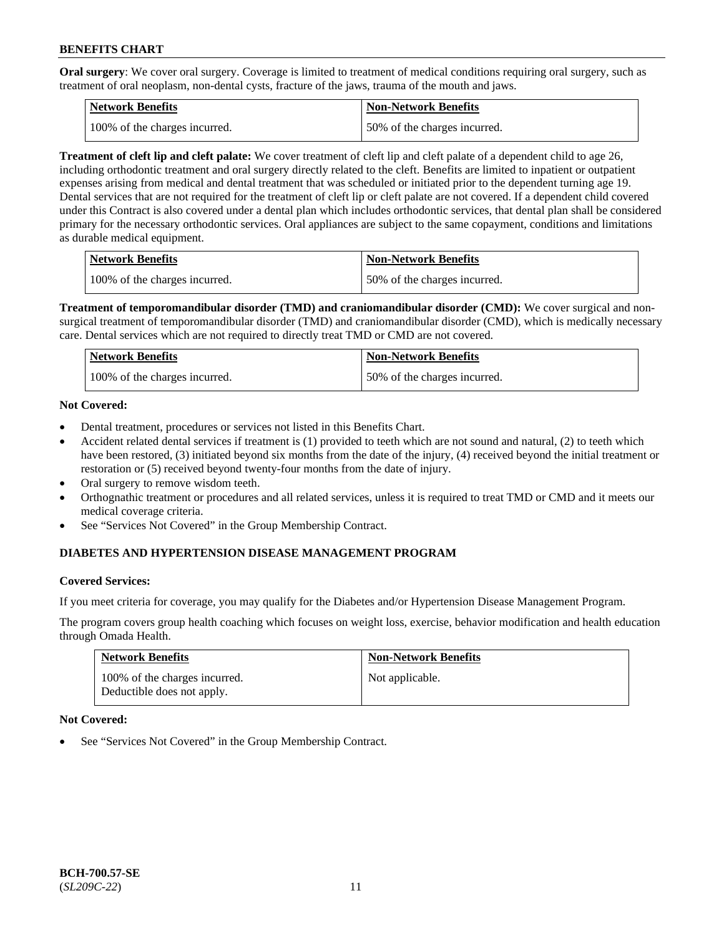**Oral surgery**: We cover oral surgery. Coverage is limited to treatment of medical conditions requiring oral surgery, such as treatment of oral neoplasm, non-dental cysts, fracture of the jaws, trauma of the mouth and jaws.

| Network Benefits              | <b>Non-Network Benefits</b>  |
|-------------------------------|------------------------------|
| 100% of the charges incurred. | 50% of the charges incurred. |

**Treatment of cleft lip and cleft palate:** We cover treatment of cleft lip and cleft palate of a dependent child to age 26, including orthodontic treatment and oral surgery directly related to the cleft. Benefits are limited to inpatient or outpatient expenses arising from medical and dental treatment that was scheduled or initiated prior to the dependent turning age 19. Dental services that are not required for the treatment of cleft lip or cleft palate are not covered. If a dependent child covered under this Contract is also covered under a dental plan which includes orthodontic services, that dental plan shall be considered primary for the necessary orthodontic services. Oral appliances are subject to the same copayment, conditions and limitations as durable medical equipment.

| <b>Network Benefits</b>       | <b>Non-Network Benefits</b>  |
|-------------------------------|------------------------------|
| 100% of the charges incurred. | 50% of the charges incurred. |

**Treatment of temporomandibular disorder (TMD) and craniomandibular disorder (CMD):** We cover surgical and nonsurgical treatment of temporomandibular disorder (TMD) and craniomandibular disorder (CMD), which is medically necessary care. Dental services which are not required to directly treat TMD or CMD are not covered.

| Network Benefits              | <b>Non-Network Benefits</b>  |
|-------------------------------|------------------------------|
| 100% of the charges incurred. | 50% of the charges incurred. |

### **Not Covered:**

- Dental treatment, procedures or services not listed in this Benefits Chart.
- Accident related dental services if treatment is (1) provided to teeth which are not sound and natural, (2) to teeth which have been restored, (3) initiated beyond six months from the date of the injury, (4) received beyond the initial treatment or restoration or (5) received beyond twenty-four months from the date of injury.
- Oral surgery to remove wisdom teeth.
- Orthognathic treatment or procedures and all related services, unless it is required to treat TMD or CMD and it meets our medical coverage criteria.
- See "Services Not Covered" in the Group Membership Contract.

### **DIABETES AND HYPERTENSION DISEASE MANAGEMENT PROGRAM**

### **Covered Services:**

If you meet criteria for coverage, you may qualify for the Diabetes and/or Hypertension Disease Management Program.

The program covers group health coaching which focuses on weight loss, exercise, behavior modification and health education through Omada Health.

| <b>Network Benefits</b>                                     | <b>Non-Network Benefits</b> |
|-------------------------------------------------------------|-----------------------------|
| 100% of the charges incurred.<br>Deductible does not apply. | Not applicable.             |

### **Not Covered:**

See "Services Not Covered" in the Group Membership Contract.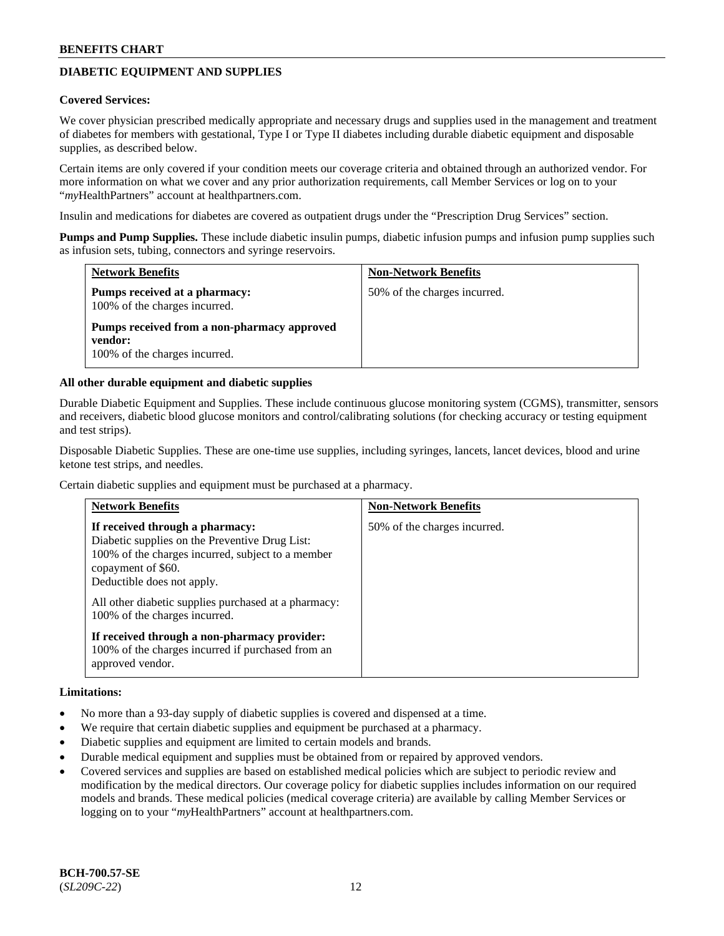## **DIABETIC EQUIPMENT AND SUPPLIES**

#### **Covered Services:**

We cover physician prescribed medically appropriate and necessary drugs and supplies used in the management and treatment of diabetes for members with gestational, Type I or Type II diabetes including durable diabetic equipment and disposable supplies, as described below.

Certain items are only covered if your condition meets our coverage criteria and obtained through an authorized vendor. For more information on what we cover and any prior authorization requirements, call Member Services or log on to your "*my*HealthPartners" account at [healthpartners.com.](http://www.healthpartners.com/)

Insulin and medications for diabetes are covered as outpatient drugs under the "Prescription Drug Services" section.

**Pumps and Pump Supplies.** These include diabetic insulin pumps, diabetic infusion pumps and infusion pump supplies such as infusion sets, tubing, connectors and syringe reservoirs.

| <b>Network Benefits</b>                                                                 | <b>Non-Network Benefits</b>  |
|-----------------------------------------------------------------------------------------|------------------------------|
| Pumps received at a pharmacy:<br>100% of the charges incurred.                          | 50% of the charges incurred. |
| Pumps received from a non-pharmacy approved<br>vendor:<br>100% of the charges incurred. |                              |

#### **All other durable equipment and diabetic supplies**

Durable Diabetic Equipment and Supplies. These include continuous glucose monitoring system (CGMS), transmitter, sensors and receivers, diabetic blood glucose monitors and control/calibrating solutions (for checking accuracy or testing equipment and test strips).

Disposable Diabetic Supplies. These are one-time use supplies, including syringes, lancets, lancet devices, blood and urine ketone test strips, and needles.

Certain diabetic supplies and equipment must be purchased at a pharmacy.

| <b>Network Benefits</b>                                                                                                                                                                    | <b>Non-Network Benefits</b>  |
|--------------------------------------------------------------------------------------------------------------------------------------------------------------------------------------------|------------------------------|
| If received through a pharmacy:<br>Diabetic supplies on the Preventive Drug List:<br>100% of the charges incurred, subject to a member<br>copayment of \$60.<br>Deductible does not apply. | 50% of the charges incurred. |
| All other diabetic supplies purchased at a pharmacy:<br>100% of the charges incurred.                                                                                                      |                              |
| If received through a non-pharmacy provider:<br>100% of the charges incurred if purchased from an<br>approved vendor.                                                                      |                              |

#### **Limitations:**

- No more than a 93-day supply of diabetic supplies is covered and dispensed at a time.
- We require that certain diabetic supplies and equipment be purchased at a pharmacy.
- Diabetic supplies and equipment are limited to certain models and brands.
- Durable medical equipment and supplies must be obtained from or repaired by approved vendors.
- Covered services and supplies are based on established medical policies which are subject to periodic review and modification by the medical directors. Our coverage policy for diabetic supplies includes information on our required models and brands. These medical policies (medical coverage criteria) are available by calling Member Services or logging on to your "*my*HealthPartners" account at [healthpartners.com.](http://www.healthpartners.com/)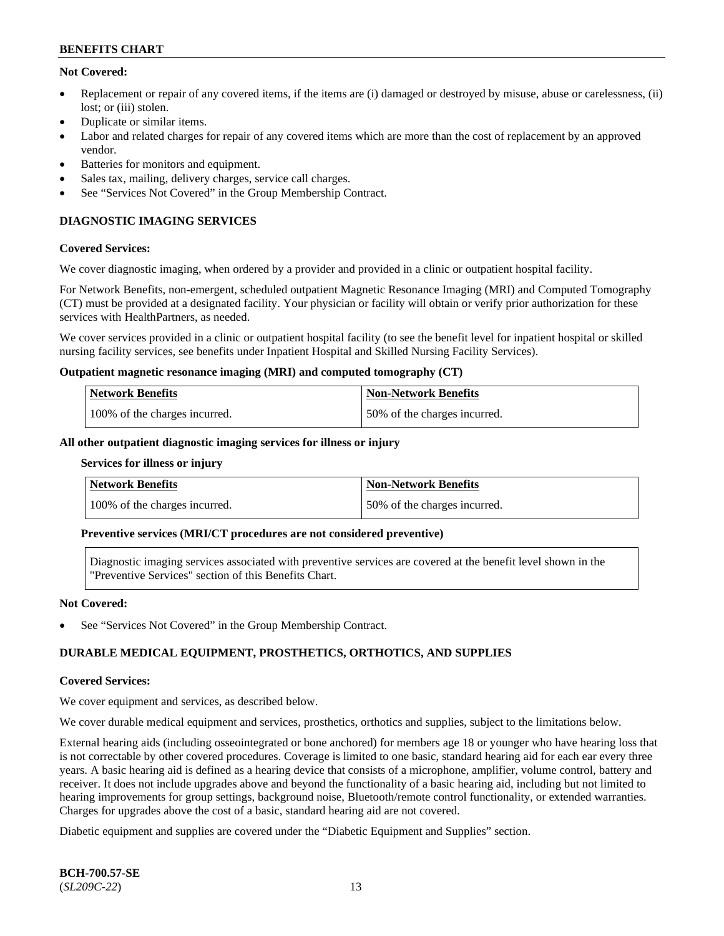### **Not Covered:**

- Replacement or repair of any covered items, if the items are (i) damaged or destroyed by misuse, abuse or carelessness, (ii) lost: or (iii) stolen.
- Duplicate or similar items.
- Labor and related charges for repair of any covered items which are more than the cost of replacement by an approved vendor.
- Batteries for monitors and equipment.
- Sales tax, mailing, delivery charges, service call charges.
- See "Services Not Covered" in the Group Membership Contract.

## **DIAGNOSTIC IMAGING SERVICES**

#### **Covered Services:**

We cover diagnostic imaging, when ordered by a provider and provided in a clinic or outpatient hospital facility.

For Network Benefits, non-emergent, scheduled outpatient Magnetic Resonance Imaging (MRI) and Computed Tomography (CT) must be provided at a designated facility. Your physician or facility will obtain or verify prior authorization for these services with HealthPartners, as needed.

We cover services provided in a clinic or outpatient hospital facility (to see the benefit level for inpatient hospital or skilled nursing facility services, see benefits under Inpatient Hospital and Skilled Nursing Facility Services).

#### **Outpatient magnetic resonance imaging (MRI) and computed tomography (CT)**

| Network Benefits              | <b>Non-Network Benefits</b>  |
|-------------------------------|------------------------------|
| 100% of the charges incurred. | 50% of the charges incurred. |

#### **All other outpatient diagnostic imaging services for illness or injury**

#### **Services for illness or injury**

| Network Benefits              | Non-Network Benefits         |
|-------------------------------|------------------------------|
| 100% of the charges incurred. | 50% of the charges incurred. |

#### **Preventive services (MRI/CT procedures are not considered preventive)**

Diagnostic imaging services associated with preventive services are covered at the benefit level shown in the "Preventive Services" section of this Benefits Chart.

#### **Not Covered:**

See "Services Not Covered" in the Group Membership Contract.

### **DURABLE MEDICAL EQUIPMENT, PROSTHETICS, ORTHOTICS, AND SUPPLIES**

#### **Covered Services:**

We cover equipment and services, as described below.

We cover durable medical equipment and services, prosthetics, orthotics and supplies, subject to the limitations below.

External hearing aids (including osseointegrated or bone anchored) for members age 18 or younger who have hearing loss that is not correctable by other covered procedures. Coverage is limited to one basic, standard hearing aid for each ear every three years. A basic hearing aid is defined as a hearing device that consists of a microphone, amplifier, volume control, battery and receiver. It does not include upgrades above and beyond the functionality of a basic hearing aid, including but not limited to hearing improvements for group settings, background noise, Bluetooth/remote control functionality, or extended warranties. Charges for upgrades above the cost of a basic, standard hearing aid are not covered.

Diabetic equipment and supplies are covered under the "Diabetic Equipment and Supplies" section.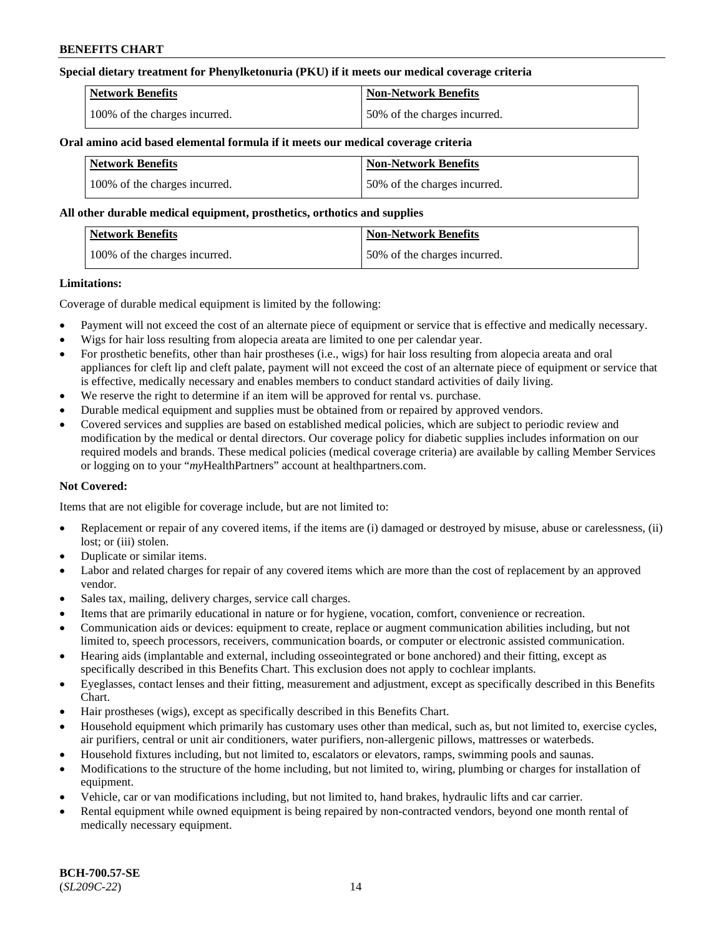### **Special dietary treatment for Phenylketonuria (PKU) if it meets our medical coverage criteria**

| <b>Network Benefits</b>       | <b>Non-Network Benefits</b>  |
|-------------------------------|------------------------------|
| 100% of the charges incurred. | 50% of the charges incurred. |

#### **Oral amino acid based elemental formula if it meets our medical coverage criteria**

| <b>Network Benefits</b>       | Non-Network Benefits         |
|-------------------------------|------------------------------|
| 100% of the charges incurred. | 50% of the charges incurred. |

#### **All other durable medical equipment, prosthetics, orthotics and supplies**

| <b>Network Benefits</b>       | Non-Network Benefits         |
|-------------------------------|------------------------------|
| 100% of the charges incurred. | 50% of the charges incurred. |

#### **Limitations:**

Coverage of durable medical equipment is limited by the following:

- Payment will not exceed the cost of an alternate piece of equipment or service that is effective and medically necessary.
- Wigs for hair loss resulting from alopecia areata are limited to one per calendar year.
- For prosthetic benefits, other than hair prostheses (i.e., wigs) for hair loss resulting from alopecia areata and oral appliances for cleft lip and cleft palate, payment will not exceed the cost of an alternate piece of equipment or service that is effective, medically necessary and enables members to conduct standard activities of daily living.
- We reserve the right to determine if an item will be approved for rental vs. purchase.
- Durable medical equipment and supplies must be obtained from or repaired by approved vendors.
- Covered services and supplies are based on established medical policies, which are subject to periodic review and modification by the medical or dental directors. Our coverage policy for diabetic supplies includes information on our required models and brands. These medical policies (medical coverage criteria) are available by calling Member Services or logging on to your "*my*HealthPartners" account a[t healthpartners.com.](https://www.healthpartners.com/hp/index.html)

### **Not Covered:**

Items that are not eligible for coverage include, but are not limited to:

- Replacement or repair of any covered items, if the items are (i) damaged or destroyed by misuse, abuse or carelessness, (ii) lost; or (iii) stolen.
- Duplicate or similar items.
- Labor and related charges for repair of any covered items which are more than the cost of replacement by an approved vendor.
- Sales tax, mailing, delivery charges, service call charges.
- Items that are primarily educational in nature or for hygiene, vocation, comfort, convenience or recreation.
- Communication aids or devices: equipment to create, replace or augment communication abilities including, but not limited to, speech processors, receivers, communication boards, or computer or electronic assisted communication.
- Hearing aids (implantable and external, including osseointegrated or bone anchored) and their fitting, except as specifically described in this Benefits Chart. This exclusion does not apply to cochlear implants.
- Eyeglasses, contact lenses and their fitting, measurement and adjustment, except as specifically described in this Benefits Chart.
- Hair prostheses (wigs), except as specifically described in this Benefits Chart.
- Household equipment which primarily has customary uses other than medical, such as, but not limited to, exercise cycles, air purifiers, central or unit air conditioners, water purifiers, non-allergenic pillows, mattresses or waterbeds.
- Household fixtures including, but not limited to, escalators or elevators, ramps, swimming pools and saunas.
- Modifications to the structure of the home including, but not limited to, wiring, plumbing or charges for installation of equipment.
- Vehicle, car or van modifications including, but not limited to, hand brakes, hydraulic lifts and car carrier.
- Rental equipment while owned equipment is being repaired by non-contracted vendors, beyond one month rental of medically necessary equipment.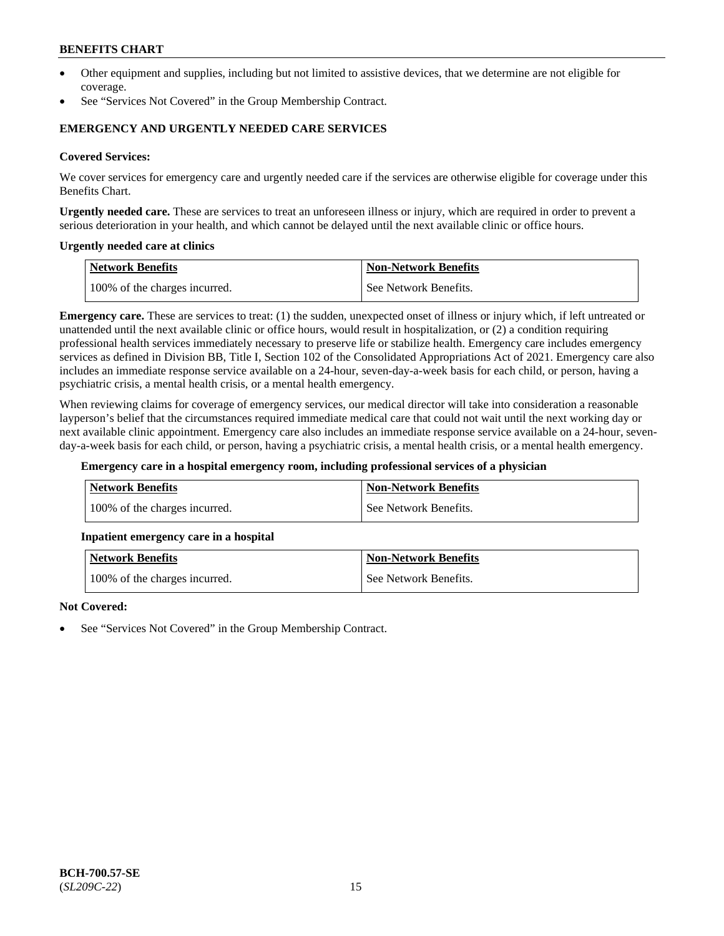- Other equipment and supplies, including but not limited to assistive devices, that we determine are not eligible for coverage.
- See "Services Not Covered" in the Group Membership Contract.

### **EMERGENCY AND URGENTLY NEEDED CARE SERVICES**

#### **Covered Services:**

We cover services for emergency care and urgently needed care if the services are otherwise eligible for coverage under this Benefits Chart.

**Urgently needed care.** These are services to treat an unforeseen illness or injury, which are required in order to prevent a serious deterioration in your health, and which cannot be delayed until the next available clinic or office hours.

#### **Urgently needed care at clinics**

| Network Benefits              | <b>Non-Network Benefits</b> |
|-------------------------------|-----------------------------|
| 100% of the charges incurred. | See Network Benefits.       |

**Emergency care.** These are services to treat: (1) the sudden, unexpected onset of illness or injury which, if left untreated or unattended until the next available clinic or office hours, would result in hospitalization, or (2) a condition requiring professional health services immediately necessary to preserve life or stabilize health. Emergency care includes emergency services as defined in Division BB, Title I, Section 102 of the Consolidated Appropriations Act of 2021. Emergency care also includes an immediate response service available on a 24-hour, seven-day-a-week basis for each child, or person, having a psychiatric crisis, a mental health crisis, or a mental health emergency.

When reviewing claims for coverage of emergency services, our medical director will take into consideration a reasonable layperson's belief that the circumstances required immediate medical care that could not wait until the next working day or next available clinic appointment. Emergency care also includes an immediate response service available on a 24-hour, sevenday-a-week basis for each child, or person, having a psychiatric crisis, a mental health crisis, or a mental health emergency.

#### **Emergency care in a hospital emergency room, including professional services of a physician**

| <b>Network Benefits</b>       | <b>Non-Network Benefits</b> |
|-------------------------------|-----------------------------|
| 100% of the charges incurred. | See Network Benefits.       |

#### **Inpatient emergency care in a hospital**

| <b>Network Benefits</b>       | <b>Non-Network Benefits</b> |
|-------------------------------|-----------------------------|
| 100% of the charges incurred. | See Network Benefits.       |

#### **Not Covered:**

See "Services Not Covered" in the Group Membership Contract.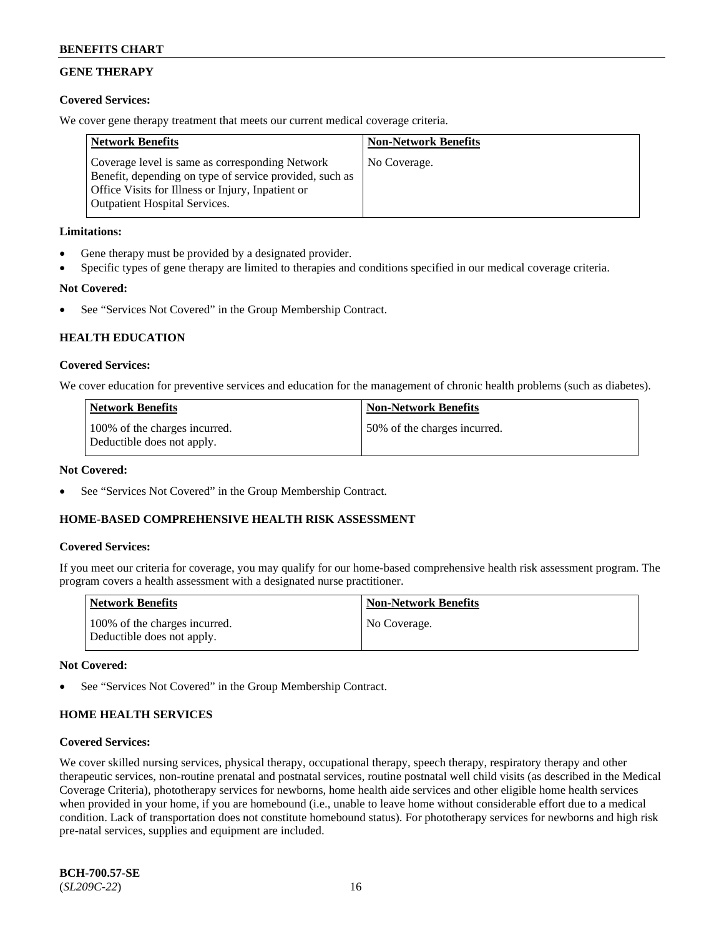## **GENE THERAPY**

### **Covered Services:**

We cover gene therapy treatment that meets our current medical coverage criteria.

| <b>Network Benefits</b>                                                                                                                                                                                 | <b>Non-Network Benefits</b> |
|---------------------------------------------------------------------------------------------------------------------------------------------------------------------------------------------------------|-----------------------------|
| Coverage level is same as corresponding Network<br>Benefit, depending on type of service provided, such as<br>Office Visits for Illness or Injury, Inpatient or<br><b>Outpatient Hospital Services.</b> | No Coverage.                |

### **Limitations:**

- Gene therapy must be provided by a designated provider.
- Specific types of gene therapy are limited to therapies and conditions specified in our medical coverage criteria.

### **Not Covered:**

See "Services Not Covered" in the Group Membership Contract.

### **HEALTH EDUCATION**

#### **Covered Services:**

We cover education for preventive services and education for the management of chronic health problems (such as diabetes).

| <b>Network Benefits</b>                                     | <b>Non-Network Benefits</b>  |
|-------------------------------------------------------------|------------------------------|
| 100% of the charges incurred.<br>Deductible does not apply. | 50% of the charges incurred. |

#### **Not Covered:**

See "Services Not Covered" in the Group Membership Contract.

### **HOME-BASED COMPREHENSIVE HEALTH RISK ASSESSMENT**

#### **Covered Services:**

If you meet our criteria for coverage, you may qualify for our home-based comprehensive health risk assessment program. The program covers a health assessment with a designated nurse practitioner.

| <b>Network Benefits</b>                                     | <b>Non-Network Benefits</b> |
|-------------------------------------------------------------|-----------------------------|
| 100% of the charges incurred.<br>Deductible does not apply. | No Coverage.                |

#### **Not Covered:**

See "Services Not Covered" in the Group Membership Contract.

## **HOME HEALTH SERVICES**

#### **Covered Services:**

We cover skilled nursing services, physical therapy, occupational therapy, speech therapy, respiratory therapy and other therapeutic services, non-routine prenatal and postnatal services, routine postnatal well child visits (as described in the Medical Coverage Criteria), phototherapy services for newborns, home health aide services and other eligible home health services when provided in your home, if you are homebound (i.e., unable to leave home without considerable effort due to a medical condition. Lack of transportation does not constitute homebound status). For phototherapy services for newborns and high risk pre-natal services, supplies and equipment are included.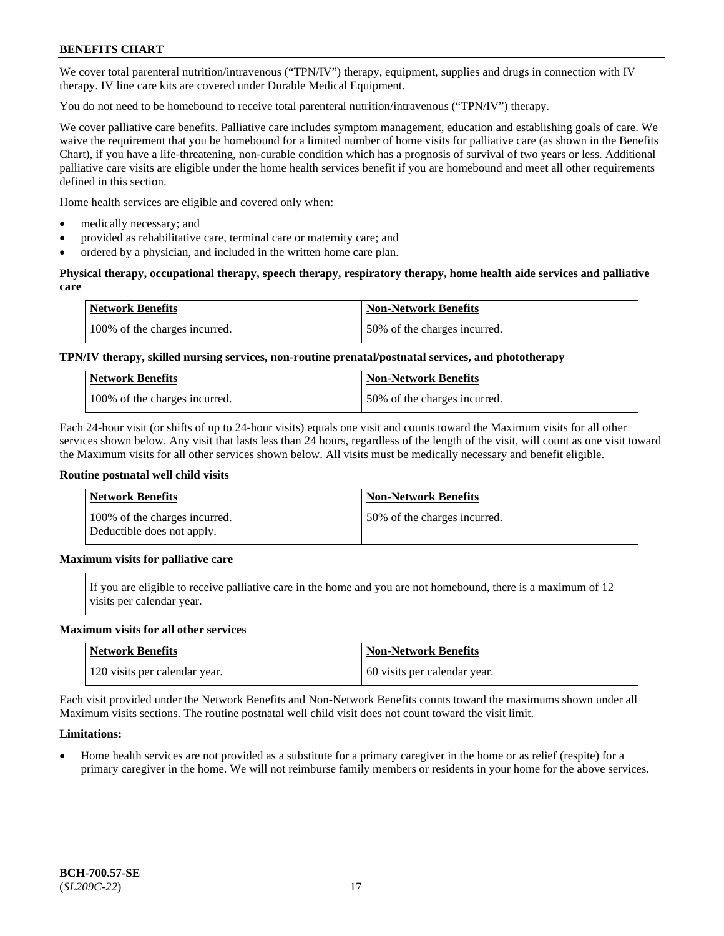We cover total parenteral nutrition/intravenous ("TPN/IV") therapy, equipment, supplies and drugs in connection with IV therapy. IV line care kits are covered under Durable Medical Equipment.

You do not need to be homebound to receive total parenteral nutrition/intravenous ("TPN/IV") therapy.

We cover palliative care benefits. Palliative care includes symptom management, education and establishing goals of care. We waive the requirement that you be homebound for a limited number of home visits for palliative care (as shown in the Benefits Chart), if you have a life-threatening, non-curable condition which has a prognosis of survival of two years or less. Additional palliative care visits are eligible under the home health services benefit if you are homebound and meet all other requirements defined in this section.

Home health services are eligible and covered only when:

- medically necessary; and
- provided as rehabilitative care, terminal care or maternity care; and
- ordered by a physician, and included in the written home care plan.

### **Physical therapy, occupational therapy, speech therapy, respiratory therapy, home health aide services and palliative care**

| <b>Network Benefits</b>       | <b>Non-Network Benefits</b>  |
|-------------------------------|------------------------------|
| 100% of the charges incurred. | 50% of the charges incurred. |

## **TPN/IV therapy, skilled nursing services, non-routine prenatal/postnatal services, and phototherapy**

| <b>Network Benefits</b>       | <b>Non-Network Benefits</b>  |
|-------------------------------|------------------------------|
| 100% of the charges incurred. | 50% of the charges incurred. |

Each 24-hour visit (or shifts of up to 24-hour visits) equals one visit and counts toward the Maximum visits for all other services shown below. Any visit that lasts less than 24 hours, regardless of the length of the visit, will count as one visit toward the Maximum visits for all other services shown below. All visits must be medically necessary and benefit eligible.

#### **Routine postnatal well child visits**

| <b>Network Benefits</b>                                     | <b>Non-Network Benefits</b>  |
|-------------------------------------------------------------|------------------------------|
| 100% of the charges incurred.<br>Deductible does not apply. | 50% of the charges incurred. |

### **Maximum visits for palliative care**

If you are eligible to receive palliative care in the home and you are not homebound, there is a maximum of 12 visits per calendar year.

#### **Maximum visits for all other services**

| <b>Network Benefits</b>       | <b>Non-Network Benefits</b>  |
|-------------------------------|------------------------------|
| 120 visits per calendar year. | 60 visits per calendar year. |

Each visit provided under the Network Benefits and Non-Network Benefits counts toward the maximums shown under all Maximum visits sections. The routine postnatal well child visit does not count toward the visit limit.

### **Limitations:**

• Home health services are not provided as a substitute for a primary caregiver in the home or as relief (respite) for a primary caregiver in the home. We will not reimburse family members or residents in your home for the above services.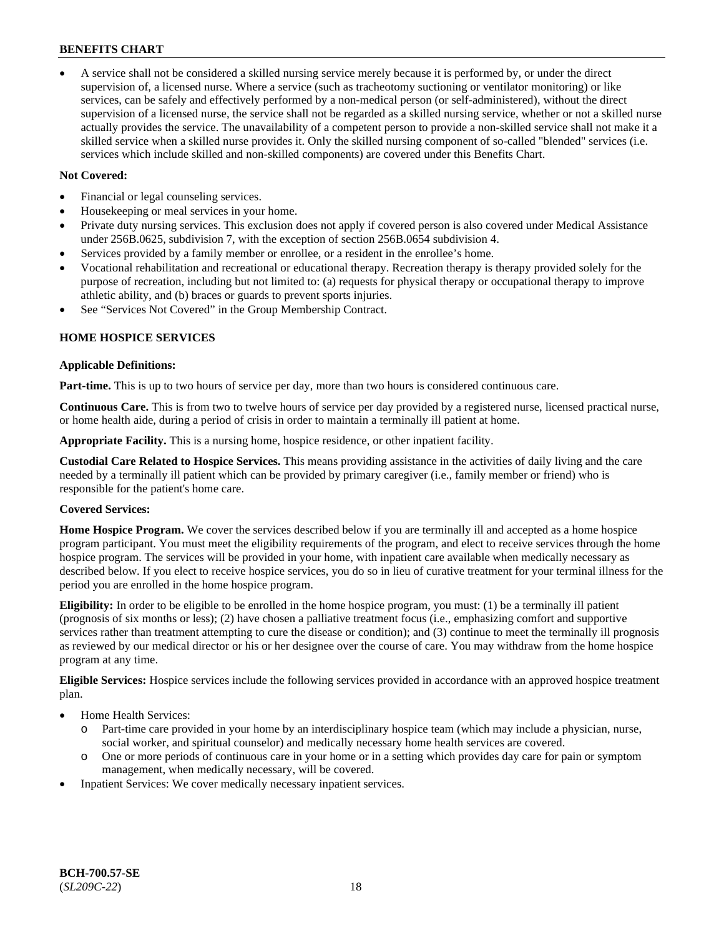• A service shall not be considered a skilled nursing service merely because it is performed by, or under the direct supervision of, a licensed nurse. Where a service (such as tracheotomy suctioning or ventilator monitoring) or like services, can be safely and effectively performed by a non-medical person (or self-administered), without the direct supervision of a licensed nurse, the service shall not be regarded as a skilled nursing service, whether or not a skilled nurse actually provides the service. The unavailability of a competent person to provide a non-skilled service shall not make it a skilled service when a skilled nurse provides it. Only the skilled nursing component of so-called "blended" services (i.e. services which include skilled and non-skilled components) are covered under this Benefits Chart.

### **Not Covered:**

- Financial or legal counseling services.
- Housekeeping or meal services in your home.
- Private duty nursing services. This exclusion does not apply if covered person is also covered under Medical Assistance under 256B.0625, subdivision 7, with the exception of section 256B.0654 subdivision 4.
- Services provided by a family member or enrollee, or a resident in the enrollee's home.
- Vocational rehabilitation and recreational or educational therapy. Recreation therapy is therapy provided solely for the purpose of recreation, including but not limited to: (a) requests for physical therapy or occupational therapy to improve athletic ability, and (b) braces or guards to prevent sports injuries.
- See "Services Not Covered" in the Group Membership Contract.

### **HOME HOSPICE SERVICES**

#### **Applicable Definitions:**

**Part-time.** This is up to two hours of service per day, more than two hours is considered continuous care.

**Continuous Care.** This is from two to twelve hours of service per day provided by a registered nurse, licensed practical nurse, or home health aide, during a period of crisis in order to maintain a terminally ill patient at home.

**Appropriate Facility.** This is a nursing home, hospice residence, or other inpatient facility.

**Custodial Care Related to Hospice Services.** This means providing assistance in the activities of daily living and the care needed by a terminally ill patient which can be provided by primary caregiver (i.e., family member or friend) who is responsible for the patient's home care.

### **Covered Services:**

**Home Hospice Program.** We cover the services described below if you are terminally ill and accepted as a home hospice program participant. You must meet the eligibility requirements of the program, and elect to receive services through the home hospice program. The services will be provided in your home, with inpatient care available when medically necessary as described below. If you elect to receive hospice services, you do so in lieu of curative treatment for your terminal illness for the period you are enrolled in the home hospice program.

**Eligibility:** In order to be eligible to be enrolled in the home hospice program, you must: (1) be a terminally ill patient (prognosis of six months or less); (2) have chosen a palliative treatment focus (i.e., emphasizing comfort and supportive services rather than treatment attempting to cure the disease or condition); and (3) continue to meet the terminally ill prognosis as reviewed by our medical director or his or her designee over the course of care. You may withdraw from the home hospice program at any time.

**Eligible Services:** Hospice services include the following services provided in accordance with an approved hospice treatment plan.

- Home Health Services:
	- o Part-time care provided in your home by an interdisciplinary hospice team (which may include a physician, nurse, social worker, and spiritual counselor) and medically necessary home health services are covered.
	- o One or more periods of continuous care in your home or in a setting which provides day care for pain or symptom management, when medically necessary, will be covered.
- Inpatient Services: We cover medically necessary inpatient services.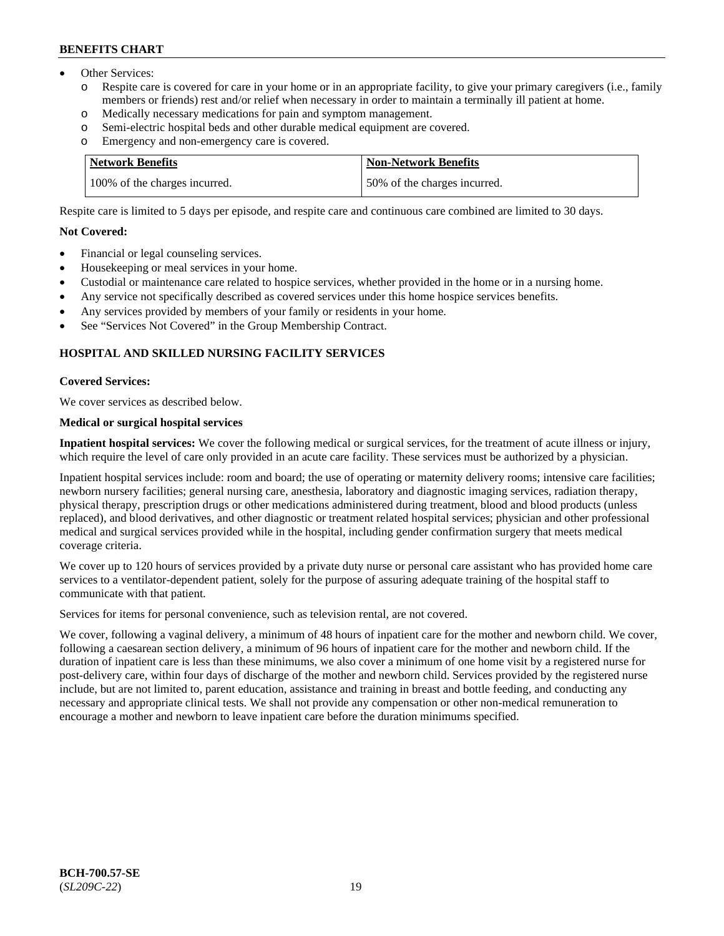- Other Services:
	- Respite care is covered for care in your home or in an appropriate facility, to give your primary caregivers (i.e., family members or friends) rest and/or relief when necessary in order to maintain a terminally ill patient at home.
	- o Medically necessary medications for pain and symptom management.
	- o Semi-electric hospital beds and other durable medical equipment are covered.
	- Emergency and non-emergency care is covered.

| <b>Network Benefits</b>       | Non-Network Benefits         |
|-------------------------------|------------------------------|
| 100% of the charges incurred. | 50% of the charges incurred. |

Respite care is limited to 5 days per episode, and respite care and continuous care combined are limited to 30 days.

#### **Not Covered:**

- Financial or legal counseling services.
- Housekeeping or meal services in your home.
- Custodial or maintenance care related to hospice services, whether provided in the home or in a nursing home.
- Any service not specifically described as covered services under this home hospice services benefits.
- Any services provided by members of your family or residents in your home.
- See "Services Not Covered" in the Group Membership Contract.

### **HOSPITAL AND SKILLED NURSING FACILITY SERVICES**

#### **Covered Services:**

We cover services as described below.

## **Medical or surgical hospital services**

**Inpatient hospital services:** We cover the following medical or surgical services, for the treatment of acute illness or injury, which require the level of care only provided in an acute care facility. These services must be authorized by a physician.

Inpatient hospital services include: room and board; the use of operating or maternity delivery rooms; intensive care facilities; newborn nursery facilities; general nursing care, anesthesia, laboratory and diagnostic imaging services, radiation therapy, physical therapy, prescription drugs or other medications administered during treatment, blood and blood products (unless replaced), and blood derivatives, and other diagnostic or treatment related hospital services; physician and other professional medical and surgical services provided while in the hospital, including gender confirmation surgery that meets medical coverage criteria.

We cover up to 120 hours of services provided by a private duty nurse or personal care assistant who has provided home care services to a ventilator-dependent patient, solely for the purpose of assuring adequate training of the hospital staff to communicate with that patient.

Services for items for personal convenience, such as television rental, are not covered.

We cover, following a vaginal delivery, a minimum of 48 hours of inpatient care for the mother and newborn child. We cover, following a caesarean section delivery, a minimum of 96 hours of inpatient care for the mother and newborn child. If the duration of inpatient care is less than these minimums, we also cover a minimum of one home visit by a registered nurse for post-delivery care, within four days of discharge of the mother and newborn child. Services provided by the registered nurse include, but are not limited to, parent education, assistance and training in breast and bottle feeding, and conducting any necessary and appropriate clinical tests. We shall not provide any compensation or other non-medical remuneration to encourage a mother and newborn to leave inpatient care before the duration minimums specified.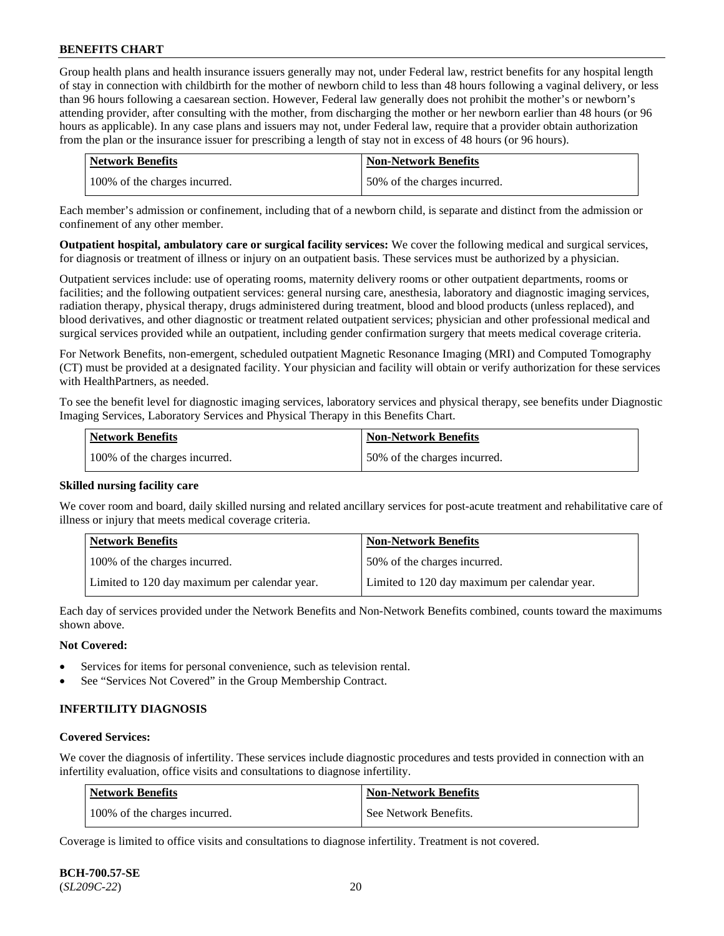Group health plans and health insurance issuers generally may not, under Federal law, restrict benefits for any hospital length of stay in connection with childbirth for the mother of newborn child to less than 48 hours following a vaginal delivery, or less than 96 hours following a caesarean section. However, Federal law generally does not prohibit the mother's or newborn's attending provider, after consulting with the mother, from discharging the mother or her newborn earlier than 48 hours (or 96 hours as applicable). In any case plans and issuers may not, under Federal law, require that a provider obtain authorization from the plan or the insurance issuer for prescribing a length of stay not in excess of 48 hours (or 96 hours).

| <b>Network Benefits</b>       | <b>Non-Network Benefits</b>  |
|-------------------------------|------------------------------|
| 100% of the charges incurred. | 50% of the charges incurred. |

Each member's admission or confinement, including that of a newborn child, is separate and distinct from the admission or confinement of any other member.

**Outpatient hospital, ambulatory care or surgical facility services:** We cover the following medical and surgical services, for diagnosis or treatment of illness or injury on an outpatient basis. These services must be authorized by a physician.

Outpatient services include: use of operating rooms, maternity delivery rooms or other outpatient departments, rooms or facilities; and the following outpatient services: general nursing care, anesthesia, laboratory and diagnostic imaging services, radiation therapy, physical therapy, drugs administered during treatment, blood and blood products (unless replaced), and blood derivatives, and other diagnostic or treatment related outpatient services; physician and other professional medical and surgical services provided while an outpatient, including gender confirmation surgery that meets medical coverage criteria.

For Network Benefits, non-emergent, scheduled outpatient Magnetic Resonance Imaging (MRI) and Computed Tomography (CT) must be provided at a designated facility. Your physician and facility will obtain or verify authorization for these services with HealthPartners, as needed.

To see the benefit level for diagnostic imaging services, laboratory services and physical therapy, see benefits under Diagnostic Imaging Services, Laboratory Services and Physical Therapy in this Benefits Chart.

| <b>Network Benefits</b>       | <b>Non-Network Benefits</b>   |
|-------------------------------|-------------------------------|
| 100% of the charges incurred. | 150% of the charges incurred. |

### **Skilled nursing facility care**

We cover room and board, daily skilled nursing and related ancillary services for post-acute treatment and rehabilitative care of illness or injury that meets medical coverage criteria.

| Network Benefits                              | <b>Non-Network Benefits</b>                   |
|-----------------------------------------------|-----------------------------------------------|
| 100\% of the charges incurred.                | 50% of the charges incurred.                  |
| Limited to 120 day maximum per calendar year. | Limited to 120 day maximum per calendar year. |

Each day of services provided under the Network Benefits and Non-Network Benefits combined, counts toward the maximums shown above.

### **Not Covered:**

- Services for items for personal convenience, such as television rental.
- See "Services Not Covered" in the Group Membership Contract.

### **INFERTILITY DIAGNOSIS**

#### **Covered Services:**

We cover the diagnosis of infertility. These services include diagnostic procedures and tests provided in connection with an infertility evaluation, office visits and consultations to diagnose infertility.

| Network Benefits              | <b>Non-Network Benefits</b> |
|-------------------------------|-----------------------------|
| 100% of the charges incurred. | See Network Benefits.       |

Coverage is limited to office visits and consultations to diagnose infertility. Treatment is not covered.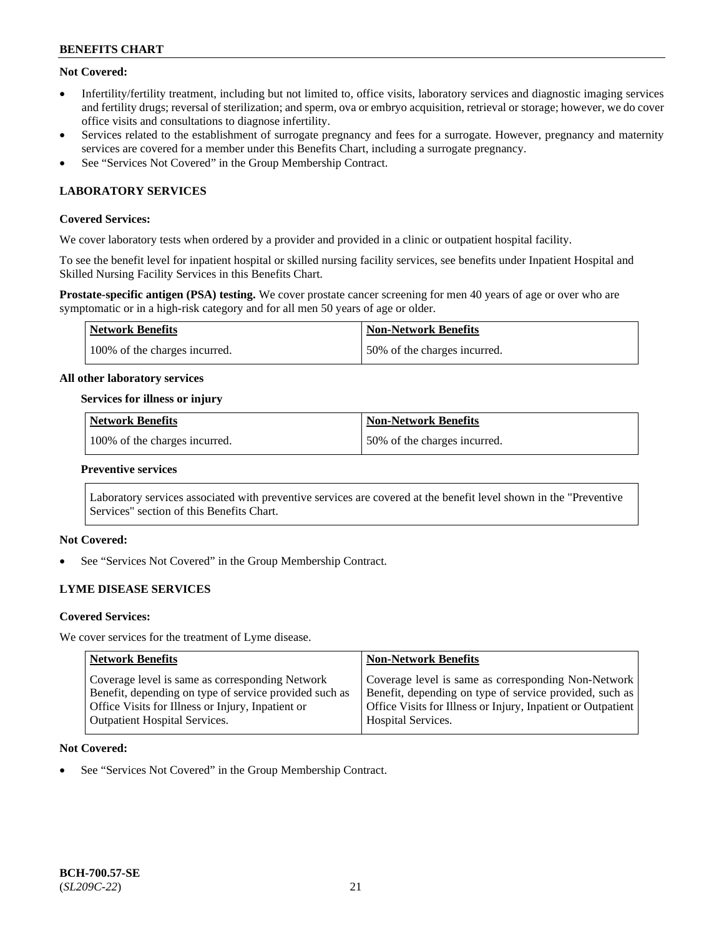### **Not Covered:**

- Infertility/fertility treatment, including but not limited to, office visits, laboratory services and diagnostic imaging services and fertility drugs; reversal of sterilization; and sperm, ova or embryo acquisition, retrieval or storage; however, we do cover office visits and consultations to diagnose infertility.
- Services related to the establishment of surrogate pregnancy and fees for a surrogate. However, pregnancy and maternity services are covered for a member under this Benefits Chart, including a surrogate pregnancy.
- See "Services Not Covered" in the Group Membership Contract.

## **LABORATORY SERVICES**

### **Covered Services:**

We cover laboratory tests when ordered by a provider and provided in a clinic or outpatient hospital facility.

To see the benefit level for inpatient hospital or skilled nursing facility services, see benefits under Inpatient Hospital and Skilled Nursing Facility Services in this Benefits Chart.

**Prostate-specific antigen (PSA) testing.** We cover prostate cancer screening for men 40 years of age or over who are symptomatic or in a high-risk category and for all men 50 years of age or older.

| Network Benefits              | Non-Network Benefits         |
|-------------------------------|------------------------------|
| 100% of the charges incurred. | 50% of the charges incurred. |

#### **All other laboratory services**

#### **Services for illness or injury**

| Network Benefits              | <b>Non-Network Benefits</b>  |
|-------------------------------|------------------------------|
| 100% of the charges incurred. | 50% of the charges incurred. |

#### **Preventive services**

Laboratory services associated with preventive services are covered at the benefit level shown in the "Preventive Services" section of this Benefits Chart.

### **Not Covered:**

See "Services Not Covered" in the Group Membership Contract.

### **LYME DISEASE SERVICES**

#### **Covered Services:**

We cover services for the treatment of Lyme disease.

| <b>Network Benefits</b>                                | <b>Non-Network Benefits</b>                                  |
|--------------------------------------------------------|--------------------------------------------------------------|
| Coverage level is same as corresponding Network        | Coverage level is same as corresponding Non-Network          |
| Benefit, depending on type of service provided such as | Benefit, depending on type of service provided, such as      |
| Office Visits for Illness or Injury, Inpatient or      | Office Visits for Illness or Injury, Inpatient or Outpatient |
| <b>Outpatient Hospital Services.</b>                   | <b>Hospital Services.</b>                                    |

#### **Not Covered:**

See "Services Not Covered" in the Group Membership Contract.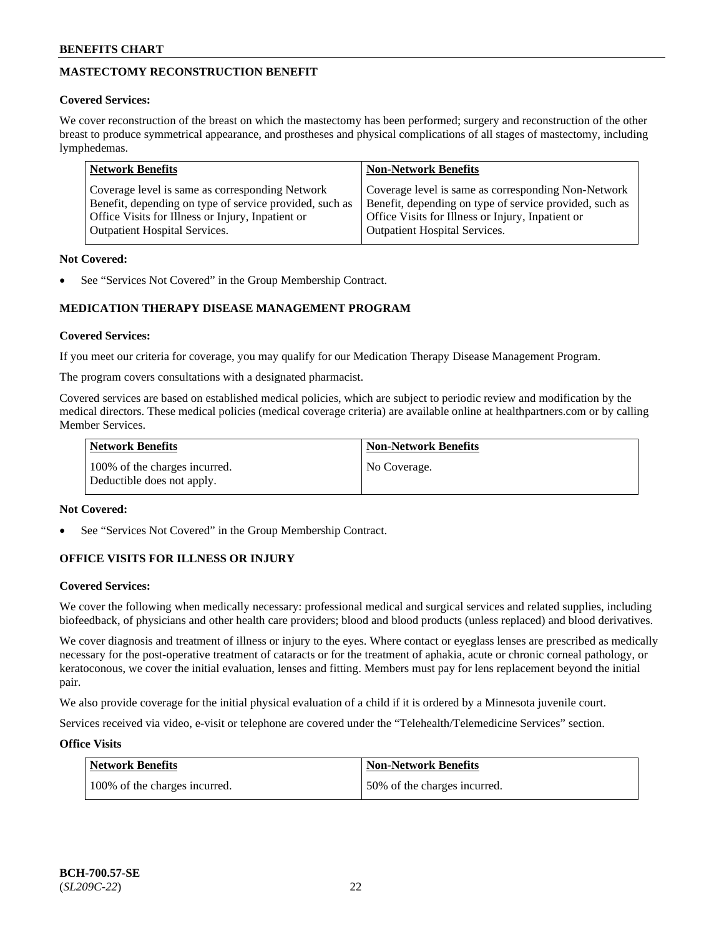## **MASTECTOMY RECONSTRUCTION BENEFIT**

### **Covered Services:**

We cover reconstruction of the breast on which the mastectomy has been performed; surgery and reconstruction of the other breast to produce symmetrical appearance, and prostheses and physical complications of all stages of mastectomy, including lymphedemas.

| <b>Network Benefits</b>                                 | <b>Non-Network Benefits</b>                             |
|---------------------------------------------------------|---------------------------------------------------------|
| Coverage level is same as corresponding Network         | Coverage level is same as corresponding Non-Network     |
| Benefit, depending on type of service provided, such as | Benefit, depending on type of service provided, such as |
| Office Visits for Illness or Injury, Inpatient or       | Office Visits for Illness or Injury, Inpatient or       |
| <b>Outpatient Hospital Services.</b>                    | <b>Outpatient Hospital Services.</b>                    |

### **Not Covered:**

See "Services Not Covered" in the Group Membership Contract.

## **MEDICATION THERAPY DISEASE MANAGEMENT PROGRAM**

### **Covered Services:**

If you meet our criteria for coverage, you may qualify for our Medication Therapy Disease Management Program.

The program covers consultations with a designated pharmacist.

Covered services are based on established medical policies, which are subject to periodic review and modification by the medical directors. These medical policies (medical coverage criteria) are available online at [healthpartners.com](https://www.healthpartners.com/hp/index.html) or by calling Member Services.

| Network Benefits                                            | <b>Non-Network Benefits</b> |
|-------------------------------------------------------------|-----------------------------|
| 100% of the charges incurred.<br>Deductible does not apply. | No Coverage.                |

### **Not Covered:**

See "Services Not Covered" in the Group Membership Contract.

## **OFFICE VISITS FOR ILLNESS OR INJURY**

### **Covered Services:**

We cover the following when medically necessary: professional medical and surgical services and related supplies, including biofeedback, of physicians and other health care providers; blood and blood products (unless replaced) and blood derivatives.

We cover diagnosis and treatment of illness or injury to the eyes. Where contact or eyeglass lenses are prescribed as medically necessary for the post-operative treatment of cataracts or for the treatment of aphakia, acute or chronic corneal pathology, or keratoconous, we cover the initial evaluation, lenses and fitting. Members must pay for lens replacement beyond the initial pair.

We also provide coverage for the initial physical evaluation of a child if it is ordered by a Minnesota juvenile court.

Services received via video, e-visit or telephone are covered under the "Telehealth/Telemedicine Services" section.

### **Office Visits**

| Network Benefits              | <b>Non-Network Benefits</b>  |
|-------------------------------|------------------------------|
| 100% of the charges incurred. | 50% of the charges incurred. |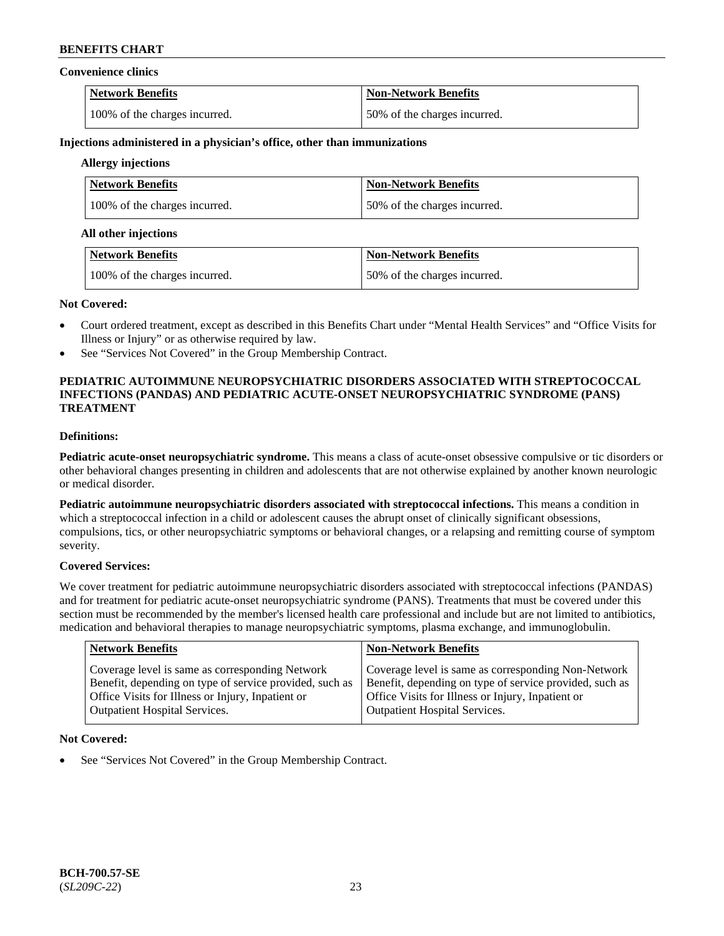#### **Convenience clinics**

| <b>Network Benefits</b>       | <b>Non-Network Benefits</b>  |
|-------------------------------|------------------------------|
| 100% of the charges incurred. | 50% of the charges incurred. |

#### **Injections administered in a physician's office, other than immunizations**

## **Allergy injections**

| <b>Network Benefits</b>       | <b>Non-Network Benefits</b>  |
|-------------------------------|------------------------------|
| 100% of the charges incurred. | 50% of the charges incurred. |

#### **All other injections**

| Network Benefits              | <b>Non-Network Benefits</b>  |
|-------------------------------|------------------------------|
| 100% of the charges incurred. | 50% of the charges incurred. |

#### **Not Covered:**

- Court ordered treatment, except as described in this Benefits Chart under "Mental Health Services" and "Office Visits for Illness or Injury" or as otherwise required by law.
- See "Services Not Covered" in the Group Membership Contract.

### **PEDIATRIC AUTOIMMUNE NEUROPSYCHIATRIC DISORDERS ASSOCIATED WITH STREPTOCOCCAL INFECTIONS (PANDAS) AND PEDIATRIC ACUTE-ONSET NEUROPSYCHIATRIC SYNDROME (PANS) TREATMENT**

## **Definitions:**

**Pediatric acute-onset neuropsychiatric syndrome.** This means a class of acute-onset obsessive compulsive or tic disorders or other behavioral changes presenting in children and adolescents that are not otherwise explained by another known neurologic or medical disorder.

**Pediatric autoimmune neuropsychiatric disorders associated with streptococcal infections.** This means a condition in which a streptococcal infection in a child or adolescent causes the abrupt onset of clinically significant obsessions, compulsions, tics, or other neuropsychiatric symptoms or behavioral changes, or a relapsing and remitting course of symptom severity.

### **Covered Services:**

We cover treatment for pediatric autoimmune neuropsychiatric disorders associated with streptococcal infections (PANDAS) and for treatment for pediatric acute-onset neuropsychiatric syndrome (PANS). Treatments that must be covered under this section must be recommended by the member's licensed health care professional and include but are not limited to antibiotics, medication and behavioral therapies to manage neuropsychiatric symptoms, plasma exchange, and immunoglobulin.

| <b>Network Benefits</b>                                 | <b>Non-Network Benefits</b>                             |
|---------------------------------------------------------|---------------------------------------------------------|
| Coverage level is same as corresponding Network         | Coverage level is same as corresponding Non-Network     |
| Benefit, depending on type of service provided, such as | Benefit, depending on type of service provided, such as |
| Office Visits for Illness or Injury, Inpatient or       | Office Visits for Illness or Injury, Inpatient or       |
| <b>Outpatient Hospital Services.</b>                    | Outpatient Hospital Services.                           |

### **Not Covered:**

See "Services Not Covered" in the Group Membership Contract.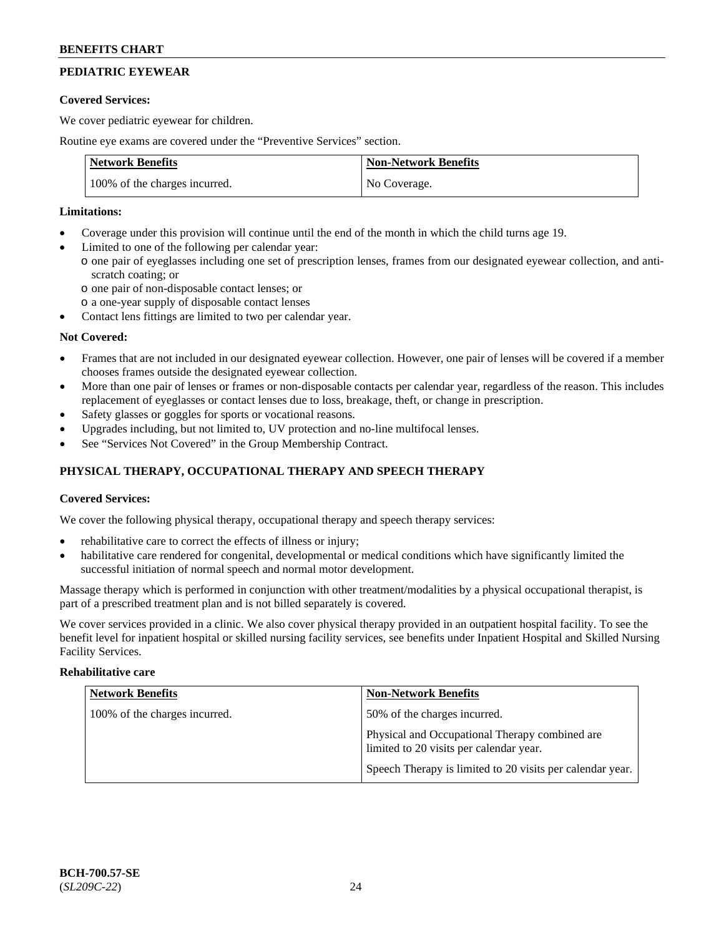## **PEDIATRIC EYEWEAR**

### **Covered Services:**

We cover pediatric eyewear for children.

Routine eye exams are covered under the "Preventive Services" section.

| <b>Network Benefits</b>       | <b>Non-Network Benefits</b> |
|-------------------------------|-----------------------------|
| 100% of the charges incurred. | No Coverage.                |

### **Limitations:**

- Coverage under this provision will continue until the end of the month in which the child turns age 19.
- Limited to one of the following per calendar year:
	- o one pair of eyeglasses including one set of prescription lenses, frames from our designated eyewear collection, and antiscratch coating; or
		- o one pair of non-disposable contact lenses; or
		- o a one-year supply of disposable contact lenses
- Contact lens fittings are limited to two per calendar year.

## **Not Covered:**

- Frames that are not included in our designated eyewear collection. However, one pair of lenses will be covered if a member chooses frames outside the designated eyewear collection.
- More than one pair of lenses or frames or non-disposable contacts per calendar year, regardless of the reason. This includes replacement of eyeglasses or contact lenses due to loss, breakage, theft, or change in prescription.
- Safety glasses or goggles for sports or vocational reasons.
- Upgrades including, but not limited to, UV protection and no-line multifocal lenses.
- See "Services Not Covered" in the Group Membership Contract.

## **PHYSICAL THERAPY, OCCUPATIONAL THERAPY AND SPEECH THERAPY**

### **Covered Services:**

We cover the following physical therapy, occupational therapy and speech therapy services:

- rehabilitative care to correct the effects of illness or injury;
- habilitative care rendered for congenital, developmental or medical conditions which have significantly limited the successful initiation of normal speech and normal motor development.

Massage therapy which is performed in conjunction with other treatment/modalities by a physical occupational therapist, is part of a prescribed treatment plan and is not billed separately is covered.

We cover services provided in a clinic. We also cover physical therapy provided in an outpatient hospital facility. To see the benefit level for inpatient hospital or skilled nursing facility services, see benefits under Inpatient Hospital and Skilled Nursing Facility Services.

### **Rehabilitative care**

| <b>Network Benefits</b>       | <b>Non-Network Benefits</b>                                                               |
|-------------------------------|-------------------------------------------------------------------------------------------|
| 100% of the charges incurred. | 50% of the charges incurred.                                                              |
|                               | Physical and Occupational Therapy combined are<br>limited to 20 visits per calendar year. |
|                               | Speech Therapy is limited to 20 visits per calendar year.                                 |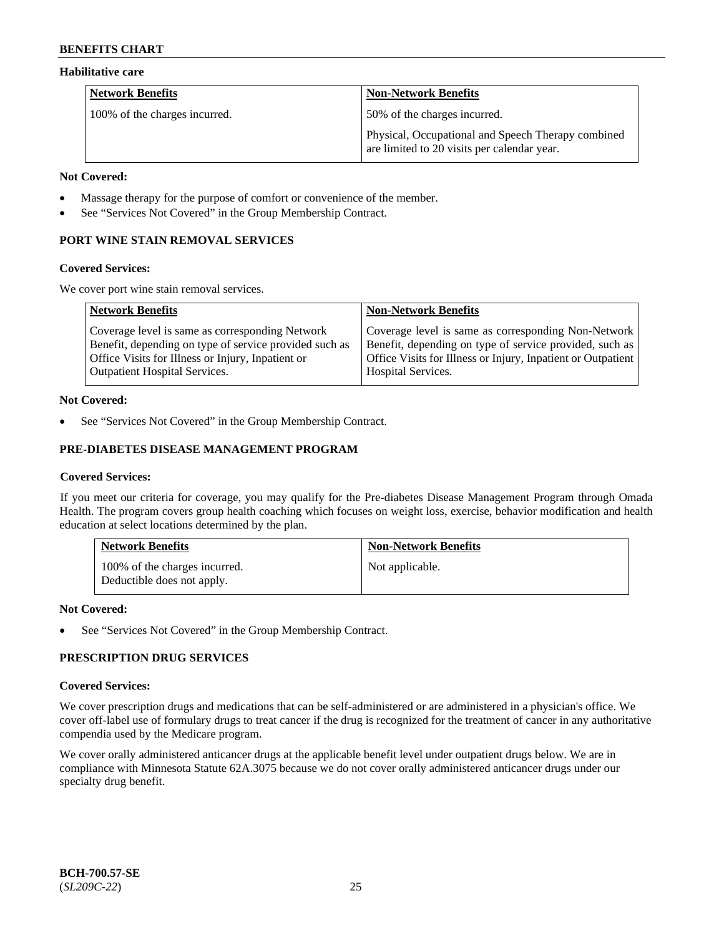### **Habilitative care**

| <b>Network Benefits</b>       | <b>Non-Network Benefits</b>                                                                       |
|-------------------------------|---------------------------------------------------------------------------------------------------|
| 100% of the charges incurred. | 50% of the charges incurred.                                                                      |
|                               | Physical, Occupational and Speech Therapy combined<br>are limited to 20 visits per calendar year. |

#### **Not Covered:**

- Massage therapy for the purpose of comfort or convenience of the member.
- See "Services Not Covered" in the Group Membership Contract.

## **PORT WINE STAIN REMOVAL SERVICES**

#### **Covered Services:**

We cover port wine stain removal services.

| <b>Network Benefits</b>                                | <b>Non-Network Benefits</b>                                  |
|--------------------------------------------------------|--------------------------------------------------------------|
| Coverage level is same as corresponding Network        | Coverage level is same as corresponding Non-Network          |
| Benefit, depending on type of service provided such as | Benefit, depending on type of service provided, such as      |
| Office Visits for Illness or Injury, Inpatient or      | Office Visits for Illness or Injury, Inpatient or Outpatient |
| Outpatient Hospital Services.                          | <b>Hospital Services.</b>                                    |

### **Not Covered:**

See "Services Not Covered" in the Group Membership Contract.

## **PRE-DIABETES DISEASE MANAGEMENT PROGRAM**

### **Covered Services:**

If you meet our criteria for coverage, you may qualify for the Pre-diabetes Disease Management Program through Omada Health. The program covers group health coaching which focuses on weight loss, exercise, behavior modification and health education at select locations determined by the plan.

| <b>Network Benefits</b>                                     | <b>Non-Network Benefits</b> |
|-------------------------------------------------------------|-----------------------------|
| 100% of the charges incurred.<br>Deductible does not apply. | Not applicable.             |

### **Not Covered:**

See "Services Not Covered" in the Group Membership Contract.

## **PRESCRIPTION DRUG SERVICES**

### **Covered Services:**

We cover prescription drugs and medications that can be self-administered or are administered in a physician's office. We cover off-label use of formulary drugs to treat cancer if the drug is recognized for the treatment of cancer in any authoritative compendia used by the Medicare program.

We cover orally administered anticancer drugs at the applicable benefit level under outpatient drugs below. We are in compliance with Minnesota Statute 62A.3075 because we do not cover orally administered anticancer drugs under our specialty drug benefit.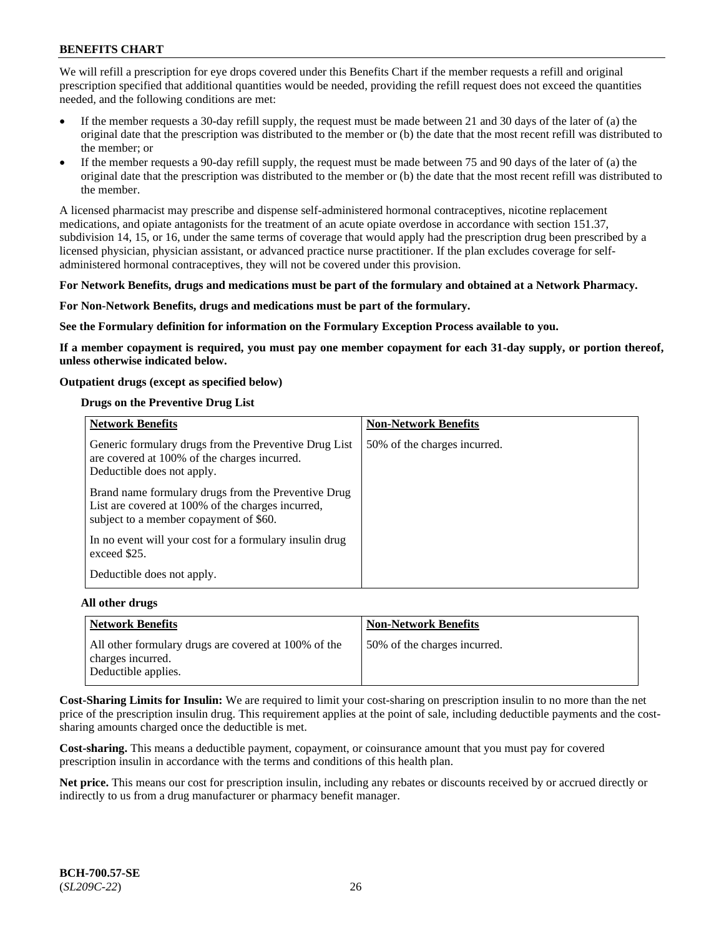We will refill a prescription for eye drops covered under this Benefits Chart if the member requests a refill and original prescription specified that additional quantities would be needed, providing the refill request does not exceed the quantities needed, and the following conditions are met:

- If the member requests a 30-day refill supply, the request must be made between 21 and 30 days of the later of (a) the original date that the prescription was distributed to the member or (b) the date that the most recent refill was distributed to the member; or
- If the member requests a 90-day refill supply, the request must be made between 75 and 90 days of the later of (a) the original date that the prescription was distributed to the member or (b) the date that the most recent refill was distributed to the member.

A licensed pharmacist may prescribe and dispense self-administered hormonal contraceptives, nicotine replacement medications, and opiate antagonists for the treatment of an acute opiate overdose in accordance with section 151.37, subdivision 14, 15, or 16, under the same terms of coverage that would apply had the prescription drug been prescribed by a licensed physician, physician assistant, or advanced practice nurse practitioner. If the plan excludes coverage for selfadministered hormonal contraceptives, they will not be covered under this provision.

#### **For Network Benefits, drugs and medications must be part of the formulary and obtained at a Network Pharmacy.**

#### **For Non-Network Benefits, drugs and medications must be part of the formulary.**

**See the Formulary definition for information on the Formulary Exception Process available to you.**

**If a member copayment is required, you must pay one member copayment for each 31-day supply, or portion thereof, unless otherwise indicated below.**

## **Outpatient drugs (except as specified below)**

#### **Drugs on the Preventive Drug List**

| <b>Network Benefits</b>                                                                                                                            | <b>Non-Network Benefits</b>  |
|----------------------------------------------------------------------------------------------------------------------------------------------------|------------------------------|
| Generic formulary drugs from the Preventive Drug List<br>are covered at 100% of the charges incurred.<br>Deductible does not apply.                | 50% of the charges incurred. |
| Brand name formulary drugs from the Preventive Drug<br>List are covered at 100% of the charges incurred,<br>subject to a member copayment of \$60. |                              |
| In no event will your cost for a formulary insulin drug<br>exceed \$25.                                                                            |                              |
| Deductible does not apply.                                                                                                                         |                              |

#### **All other drugs**

| <b>Non-Network Benefits</b>  |
|------------------------------|
| 50% of the charges incurred. |
|                              |
|                              |
|                              |

**Cost-Sharing Limits for Insulin:** We are required to limit your cost-sharing on prescription insulin to no more than the net price of the prescription insulin drug. This requirement applies at the point of sale, including deductible payments and the costsharing amounts charged once the deductible is met.

**Cost-sharing.** This means a deductible payment, copayment, or coinsurance amount that you must pay for covered prescription insulin in accordance with the terms and conditions of this health plan.

**Net price.** This means our cost for prescription insulin, including any rebates or discounts received by or accrued directly or indirectly to us from a drug manufacturer or pharmacy benefit manager.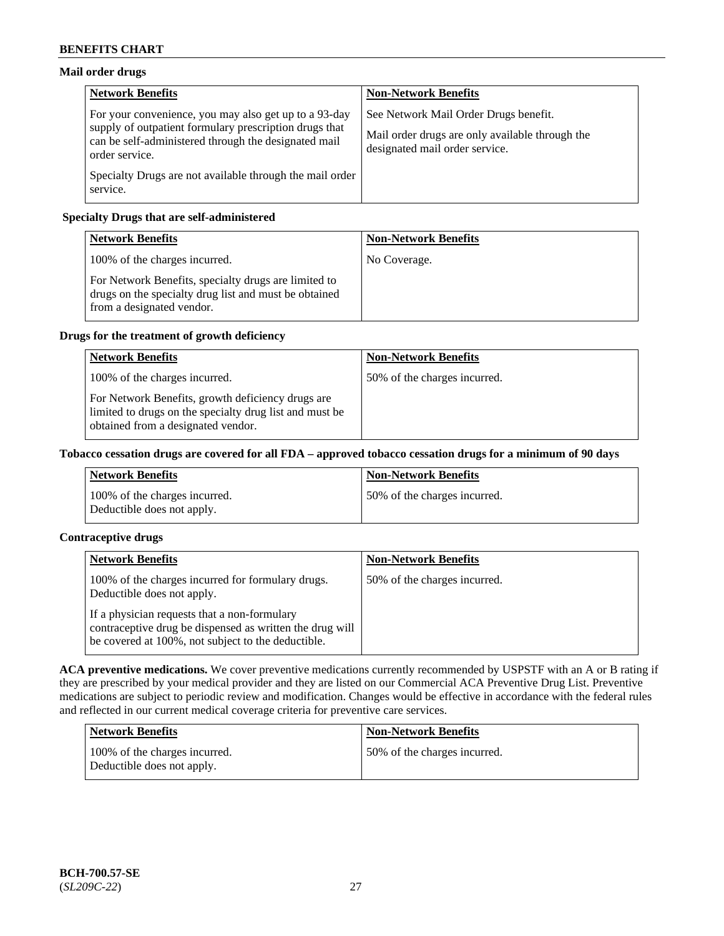## **Mail order drugs**

| <b>Network Benefits</b>                                                                                                                                                                   | <b>Non-Network Benefits</b>                                                                                                |
|-------------------------------------------------------------------------------------------------------------------------------------------------------------------------------------------|----------------------------------------------------------------------------------------------------------------------------|
| For your convenience, you may also get up to a 93-day<br>supply of outpatient formulary prescription drugs that<br>can be self-administered through the designated mail<br>order service. | See Network Mail Order Drugs benefit.<br>Mail order drugs are only available through the<br>designated mail order service. |
| Specialty Drugs are not available through the mail order<br>service.                                                                                                                      |                                                                                                                            |

## **Specialty Drugs that are self-administered**

| <b>Network Benefits</b>                                                                                                                    | <b>Non-Network Benefits</b> |
|--------------------------------------------------------------------------------------------------------------------------------------------|-----------------------------|
| 100% of the charges incurred.                                                                                                              | No Coverage.                |
| For Network Benefits, specialty drugs are limited to<br>drugs on the specialty drug list and must be obtained<br>from a designated vendor. |                             |

## **Drugs for the treatment of growth deficiency**

| <b>Network Benefits</b>                                                                                                                            | <b>Non-Network Benefits</b>  |
|----------------------------------------------------------------------------------------------------------------------------------------------------|------------------------------|
| 100% of the charges incurred.                                                                                                                      | 50% of the charges incurred. |
| For Network Benefits, growth deficiency drugs are<br>limited to drugs on the specialty drug list and must be<br>obtained from a designated vendor. |                              |

### **Tobacco cessation drugs are covered for all FDA – approved tobacco cessation drugs for a minimum of 90 days**

| <b>Network Benefits</b>                                     | <b>Non-Network Benefits</b>  |
|-------------------------------------------------------------|------------------------------|
| 100% of the charges incurred.<br>Deductible does not apply. | 50% of the charges incurred. |

## **Contraceptive drugs**

| <b>Network Benefits</b>                                                                                                                                        | <b>Non-Network Benefits</b>  |
|----------------------------------------------------------------------------------------------------------------------------------------------------------------|------------------------------|
| 100% of the charges incurred for formulary drugs.<br>Deductible does not apply.                                                                                | 50% of the charges incurred. |
| If a physician requests that a non-formulary<br>contraceptive drug be dispensed as written the drug will<br>be covered at 100%, not subject to the deductible. |                              |

**ACA preventive medications.** We cover preventive medications currently recommended by USPSTF with an A or B rating if they are prescribed by your medical provider and they are listed on our Commercial ACA Preventive Drug List. Preventive medications are subject to periodic review and modification. Changes would be effective in accordance with the federal rules and reflected in our current medical coverage criteria for preventive care services.

| Network Benefits                                            | <b>Non-Network Benefits</b>  |
|-------------------------------------------------------------|------------------------------|
| 100% of the charges incurred.<br>Deductible does not apply. | 50% of the charges incurred. |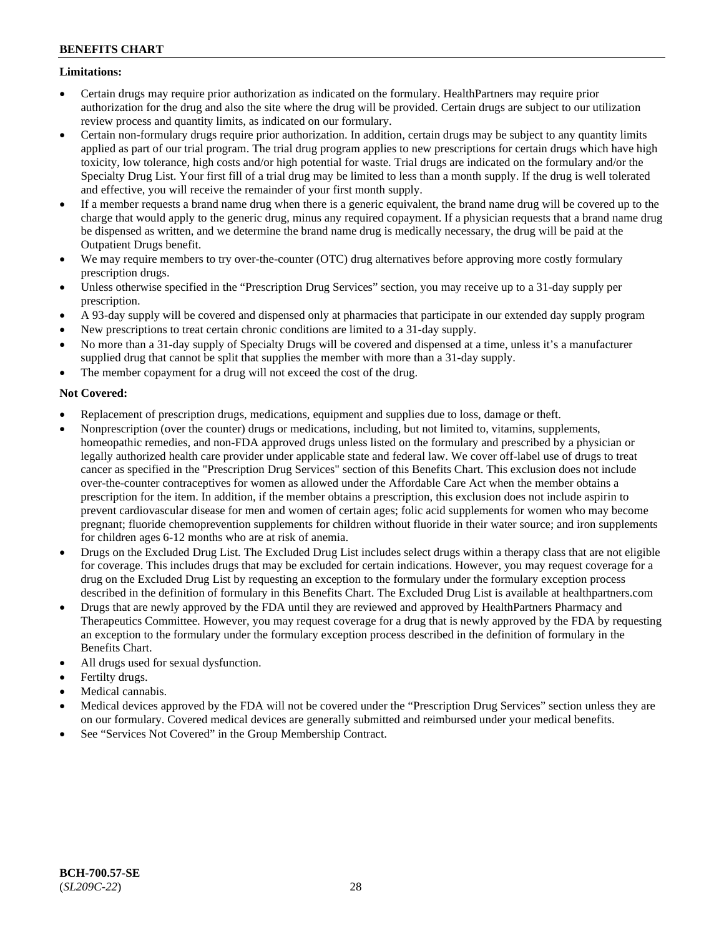### **Limitations:**

- Certain drugs may require prior authorization as indicated on the formulary. HealthPartners may require prior authorization for the drug and also the site where the drug will be provided. Certain drugs are subject to our utilization review process and quantity limits, as indicated on our formulary.
- Certain non-formulary drugs require prior authorization. In addition, certain drugs may be subject to any quantity limits applied as part of our trial program. The trial drug program applies to new prescriptions for certain drugs which have high toxicity, low tolerance, high costs and/or high potential for waste. Trial drugs are indicated on the formulary and/or the Specialty Drug List. Your first fill of a trial drug may be limited to less than a month supply. If the drug is well tolerated and effective, you will receive the remainder of your first month supply.
- If a member requests a brand name drug when there is a generic equivalent, the brand name drug will be covered up to the charge that would apply to the generic drug, minus any required copayment. If a physician requests that a brand name drug be dispensed as written, and we determine the brand name drug is medically necessary, the drug will be paid at the Outpatient Drugs benefit.
- We may require members to try over-the-counter (OTC) drug alternatives before approving more costly formulary prescription drugs.
- Unless otherwise specified in the "Prescription Drug Services" section, you may receive up to a 31-day supply per prescription.
- A 93-day supply will be covered and dispensed only at pharmacies that participate in our extended day supply program
- New prescriptions to treat certain chronic conditions are limited to a 31-day supply.
- No more than a 31-day supply of Specialty Drugs will be covered and dispensed at a time, unless it's a manufacturer supplied drug that cannot be split that supplies the member with more than a 31-day supply.
- The member copayment for a drug will not exceed the cost of the drug.

## **Not Covered:**

- Replacement of prescription drugs, medications, equipment and supplies due to loss, damage or theft.
- Nonprescription (over the counter) drugs or medications, including, but not limited to, vitamins, supplements, homeopathic remedies, and non-FDA approved drugs unless listed on the formulary and prescribed by a physician or legally authorized health care provider under applicable state and federal law. We cover off-label use of drugs to treat cancer as specified in the "Prescription Drug Services" section of this Benefits Chart. This exclusion does not include over-the-counter contraceptives for women as allowed under the Affordable Care Act when the member obtains a prescription for the item. In addition, if the member obtains a prescription, this exclusion does not include aspirin to prevent cardiovascular disease for men and women of certain ages; folic acid supplements for women who may become pregnant; fluoride chemoprevention supplements for children without fluoride in their water source; and iron supplements for children ages 6-12 months who are at risk of anemia.
- Drugs on the Excluded Drug List. The Excluded Drug List includes select drugs within a therapy class that are not eligible for coverage. This includes drugs that may be excluded for certain indications. However, you may request coverage for a drug on the Excluded Drug List by requesting an exception to the formulary under the formulary exception process described in the definition of formulary in this Benefits Chart. The Excluded Drug List is available at [healthpartners.com](http://www.healthpartners.com/)
- Drugs that are newly approved by the FDA until they are reviewed and approved by HealthPartners Pharmacy and Therapeutics Committee. However, you may request coverage for a drug that is newly approved by the FDA by requesting an exception to the formulary under the formulary exception process described in the definition of formulary in the Benefits Chart.
- All drugs used for sexual dysfunction.
- Fertilty drugs.
- Medical cannabis.
- Medical devices approved by the FDA will not be covered under the "Prescription Drug Services" section unless they are on our formulary. Covered medical devices are generally submitted and reimbursed under your medical benefits.
- See "Services Not Covered" in the Group Membership Contract.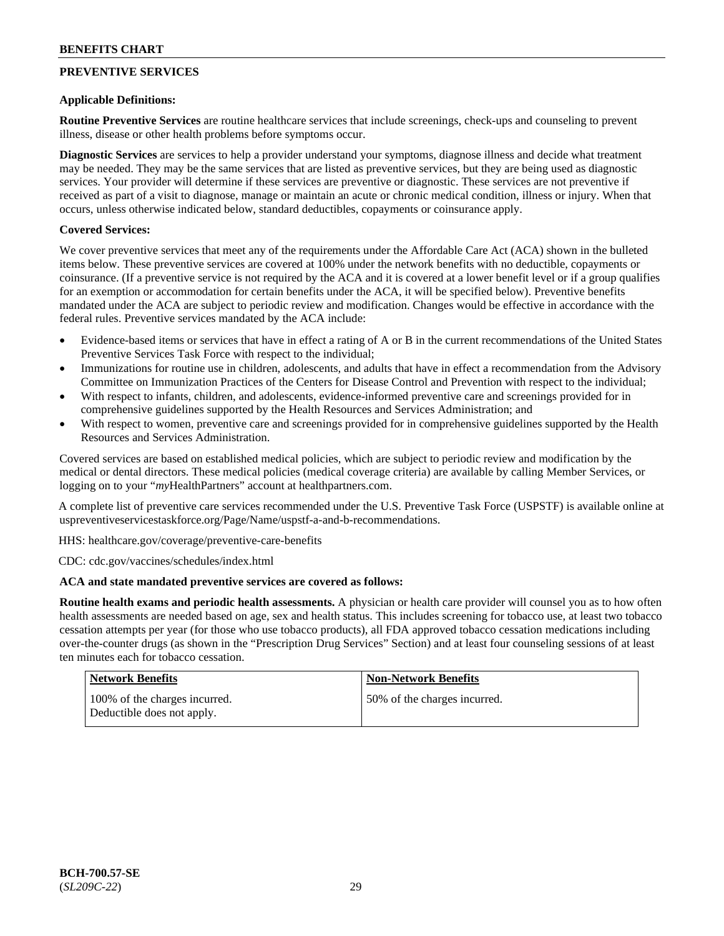## **PREVENTIVE SERVICES**

### **Applicable Definitions:**

**Routine Preventive Services** are routine healthcare services that include screenings, check-ups and counseling to prevent illness, disease or other health problems before symptoms occur.

**Diagnostic Services** are services to help a provider understand your symptoms, diagnose illness and decide what treatment may be needed. They may be the same services that are listed as preventive services, but they are being used as diagnostic services. Your provider will determine if these services are preventive or diagnostic. These services are not preventive if received as part of a visit to diagnose, manage or maintain an acute or chronic medical condition, illness or injury. When that occurs, unless otherwise indicated below, standard deductibles, copayments or coinsurance apply.

### **Covered Services:**

We cover preventive services that meet any of the requirements under the Affordable Care Act (ACA) shown in the bulleted items below. These preventive services are covered at 100% under the network benefits with no deductible, copayments or coinsurance. (If a preventive service is not required by the ACA and it is covered at a lower benefit level or if a group qualifies for an exemption or accommodation for certain benefits under the ACA, it will be specified below). Preventive benefits mandated under the ACA are subject to periodic review and modification. Changes would be effective in accordance with the federal rules. Preventive services mandated by the ACA include:

- Evidence-based items or services that have in effect a rating of A or B in the current recommendations of the United States Preventive Services Task Force with respect to the individual;
- Immunizations for routine use in children, adolescents, and adults that have in effect a recommendation from the Advisory Committee on Immunization Practices of the Centers for Disease Control and Prevention with respect to the individual;
- With respect to infants, children, and adolescents, evidence-informed preventive care and screenings provided for in comprehensive guidelines supported by the Health Resources and Services Administration; and
- With respect to women, preventive care and screenings provided for in comprehensive guidelines supported by the Health Resources and Services Administration.

Covered services are based on established medical policies, which are subject to periodic review and modification by the medical or dental directors. These medical policies (medical coverage criteria) are available by calling Member Services, or logging on to your "*my*HealthPartners" account at [healthpartners.com.](http://www.healthpartners.com/)

A complete list of preventive care services recommended under the U.S. Preventive Task Force (USPSTF) is available online at [uspreventiveservicestaskforce.org/Page/Name/uspstf-a-and-b-recommendations.](https://www.uspreventiveservicestaskforce.org/Page/Name/uspstf-a-and-b-recommendations-by-date/)

HHS: [healthcare.gov/coverage/preventive-care-benefits](https://www.healthcare.gov/coverage/preventive-care-benefits/)

CDC: [cdc.gov/vaccines/schedules/index.html](https://www.cdc.gov/vaccines/schedules/index.html)

### **ACA and state mandated preventive services are covered as follows:**

**Routine health exams and periodic health assessments.** A physician or health care provider will counsel you as to how often health assessments are needed based on age, sex and health status. This includes screening for tobacco use, at least two tobacco cessation attempts per year (for those who use tobacco products), all FDA approved tobacco cessation medications including over-the-counter drugs (as shown in the "Prescription Drug Services" Section) and at least four counseling sessions of at least ten minutes each for tobacco cessation.

| <b>Network Benefits</b>                                     | <b>Non-Network Benefits</b>  |
|-------------------------------------------------------------|------------------------------|
| 100% of the charges incurred.<br>Deductible does not apply. | 50% of the charges incurred. |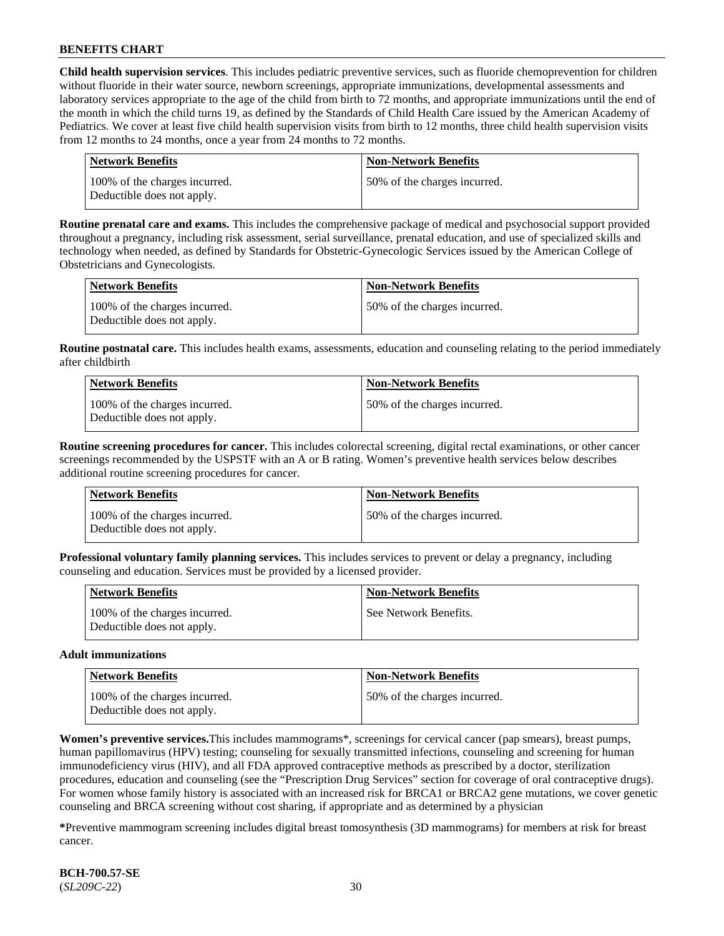**Child health supervision services**. This includes pediatric preventive services, such as fluoride chemoprevention for children without fluoride in their water source, newborn screenings, appropriate immunizations, developmental assessments and laboratory services appropriate to the age of the child from birth to 72 months, and appropriate immunizations until the end of the month in which the child turns 19, as defined by the Standards of Child Health Care issued by the American Academy of Pediatrics. We cover at least five child health supervision visits from birth to 12 months, three child health supervision visits from 12 months to 24 months, once a year from 24 months to 72 months.

| Network Benefits                                            | <b>Non-Network Benefits</b>  |
|-------------------------------------------------------------|------------------------------|
| 100% of the charges incurred.<br>Deductible does not apply. | 50% of the charges incurred. |

**Routine prenatal care and exams.** This includes the comprehensive package of medical and psychosocial support provided throughout a pregnancy, including risk assessment, serial surveillance, prenatal education, and use of specialized skills and technology when needed, as defined by Standards for Obstetric-Gynecologic Services issued by the American College of Obstetricians and Gynecologists.

| Network Benefits                                            | <b>Non-Network Benefits</b>  |
|-------------------------------------------------------------|------------------------------|
| 100% of the charges incurred.<br>Deductible does not apply. | 50% of the charges incurred. |

**Routine postnatal care.** This includes health exams, assessments, education and counseling relating to the period immediately after childbirth

| Network Benefits                                            | <b>Non-Network Benefits</b>  |
|-------------------------------------------------------------|------------------------------|
| 100% of the charges incurred.<br>Deductible does not apply. | 50% of the charges incurred. |

**Routine screening procedures for cancer.** This includes colorectal screening, digital rectal examinations, or other cancer screenings recommended by the USPSTF with an A or B rating. Women's preventive health services below describes additional routine screening procedures for cancer.

| Network Benefits                                            | <b>Non-Network Benefits</b>  |
|-------------------------------------------------------------|------------------------------|
| 100% of the charges incurred.<br>Deductible does not apply. | 50% of the charges incurred. |

**Professional voluntary family planning services.** This includes services to prevent or delay a pregnancy, including counseling and education. Services must be provided by a licensed provider.

| <b>Network Benefits</b>                                     | <b>Non-Network Benefits</b> |
|-------------------------------------------------------------|-----------------------------|
| 100% of the charges incurred.<br>Deductible does not apply. | See Network Benefits.       |

#### **Adult immunizations**

| Network Benefits                                            | <b>Non-Network Benefits</b>  |
|-------------------------------------------------------------|------------------------------|
| 100% of the charges incurred.<br>Deductible does not apply. | 50% of the charges incurred. |

**Women's preventive services.**This includes mammograms\*, screenings for cervical cancer (pap smears), breast pumps, human papillomavirus (HPV) testing; counseling for sexually transmitted infections, counseling and screening for human immunodeficiency virus (HIV), and all FDA approved contraceptive methods as prescribed by a doctor, sterilization procedures, education and counseling (see the "Prescription Drug Services" section for coverage of oral contraceptive drugs). For women whose family history is associated with an increased risk for BRCA1 or BRCA2 gene mutations, we cover genetic counseling and BRCA screening without cost sharing, if appropriate and as determined by a physician

**\***Preventive mammogram screening includes digital breast tomosynthesis (3D mammograms) for members at risk for breast cancer.

**BCH-700.57-SE** (*SL209C-22*) 30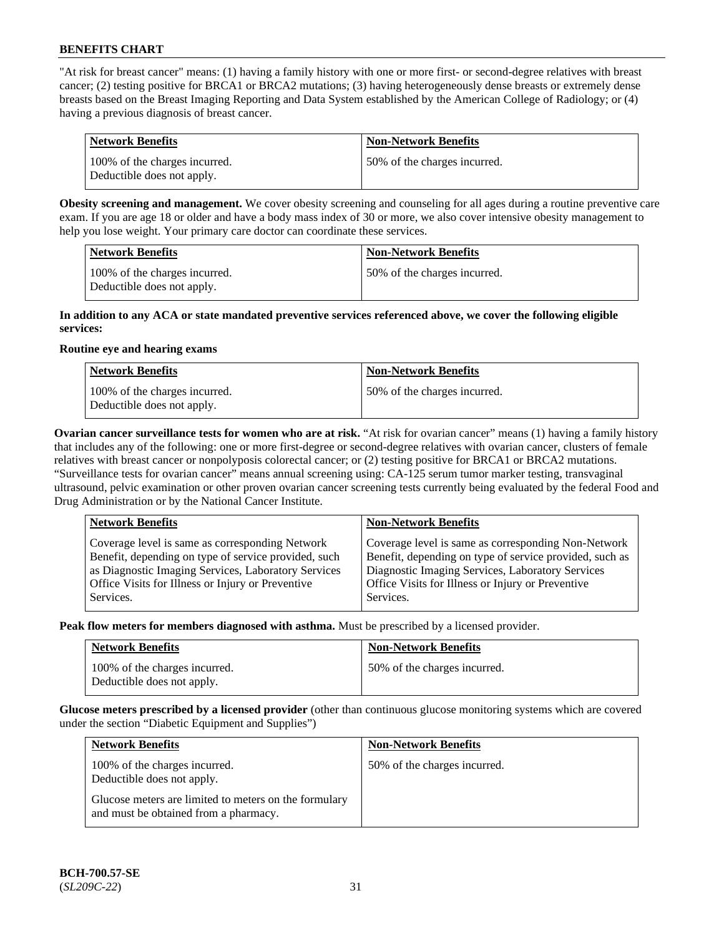"At risk for breast cancer" means: (1) having a family history with one or more first- or second-degree relatives with breast cancer; (2) testing positive for BRCA1 or BRCA2 mutations; (3) having heterogeneously dense breasts or extremely dense breasts based on the Breast Imaging Reporting and Data System established by the American College of Radiology; or (4) having a previous diagnosis of breast cancer.

| Network Benefits                                            | <b>Non-Network Benefits</b>  |
|-------------------------------------------------------------|------------------------------|
| 100% of the charges incurred.<br>Deductible does not apply. | 50% of the charges incurred. |

**Obesity screening and management.** We cover obesity screening and counseling for all ages during a routine preventive care exam. If you are age 18 or older and have a body mass index of 30 or more, we also cover intensive obesity management to help you lose weight. Your primary care doctor can coordinate these services.

| <b>Network Benefits</b>                                     | <b>Non-Network Benefits</b>  |
|-------------------------------------------------------------|------------------------------|
| 100% of the charges incurred.<br>Deductible does not apply. | 50% of the charges incurred. |

#### **In addition to any ACA or state mandated preventive services referenced above, we cover the following eligible services:**

#### **Routine eye and hearing exams**

| <b>Network Benefits</b>                                     | <b>Non-Network Benefits</b>  |
|-------------------------------------------------------------|------------------------------|
| 100% of the charges incurred.<br>Deductible does not apply. | 50% of the charges incurred. |

**Ovarian cancer surveillance tests for women who are at risk.** "At risk for ovarian cancer" means (1) having a family history that includes any of the following: one or more first-degree or second-degree relatives with ovarian cancer, clusters of female relatives with breast cancer or nonpolyposis colorectal cancer; or (2) testing positive for BRCA1 or BRCA2 mutations. "Surveillance tests for ovarian cancer" means annual screening using: CA-125 serum tumor marker testing, transvaginal ultrasound, pelvic examination or other proven ovarian cancer screening tests currently being evaluated by the federal Food and Drug Administration or by the National Cancer Institute.

| <b>Network Benefits</b>                                                                                                                                                                                                          | <b>Non-Network Benefits</b>                                                                                                                                                                                                          |
|----------------------------------------------------------------------------------------------------------------------------------------------------------------------------------------------------------------------------------|--------------------------------------------------------------------------------------------------------------------------------------------------------------------------------------------------------------------------------------|
| Coverage level is same as corresponding Network<br>Benefit, depending on type of service provided, such<br>as Diagnostic Imaging Services, Laboratory Services<br>Office Visits for Illness or Injury or Preventive<br>Services. | Coverage level is same as corresponding Non-Network<br>Benefit, depending on type of service provided, such as<br>Diagnostic Imaging Services, Laboratory Services<br>Office Visits for Illness or Injury or Preventive<br>Services. |
|                                                                                                                                                                                                                                  |                                                                                                                                                                                                                                      |

**Peak flow meters for members diagnosed with asthma.** Must be prescribed by a licensed provider.

| <b>Network Benefits</b>                                     | <b>Non-Network Benefits</b>  |
|-------------------------------------------------------------|------------------------------|
| 100% of the charges incurred.<br>Deductible does not apply. | 50% of the charges incurred. |

**Glucose meters prescribed by a licensed provider** (other than continuous glucose monitoring systems which are covered under the section "Diabetic Equipment and Supplies")

| <b>Network Benefits</b>                                                                        | <b>Non-Network Benefits</b>  |
|------------------------------------------------------------------------------------------------|------------------------------|
| 100% of the charges incurred.<br>Deductible does not apply.                                    | 50% of the charges incurred. |
| Glucose meters are limited to meters on the formulary<br>and must be obtained from a pharmacy. |                              |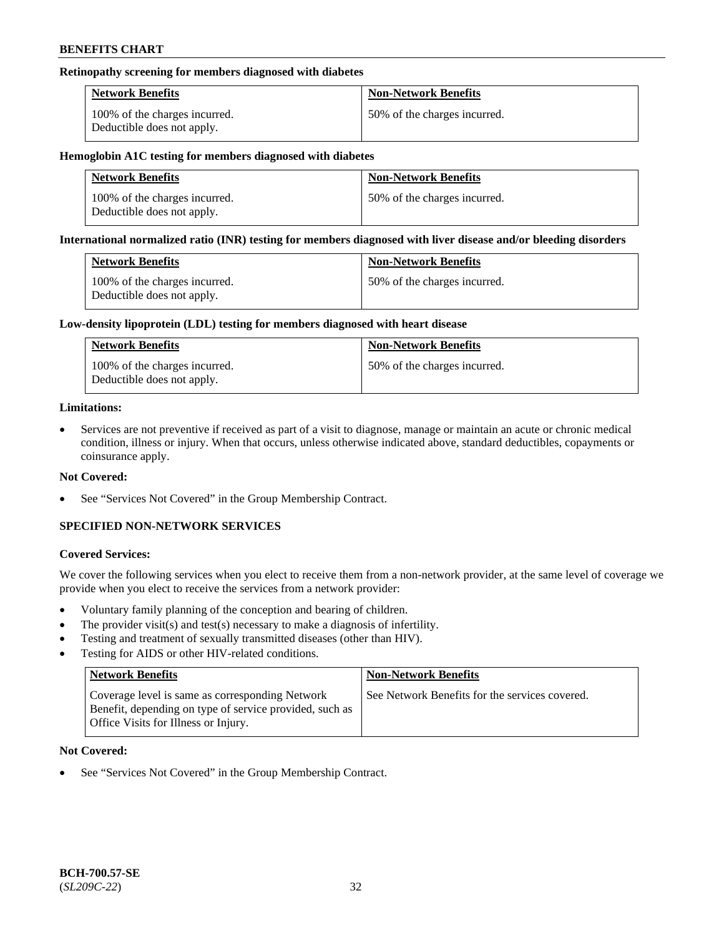### **Retinopathy screening for members diagnosed with diabetes**

| <b>Network Benefits</b>                                     | <b>Non-Network Benefits</b>  |
|-------------------------------------------------------------|------------------------------|
| 100% of the charges incurred.<br>Deductible does not apply. | 50% of the charges incurred. |

#### **Hemoglobin A1C testing for members diagnosed with diabetes**

| <b>Network Benefits</b>                                     | <b>Non-Network Benefits</b>  |
|-------------------------------------------------------------|------------------------------|
| 100% of the charges incurred.<br>Deductible does not apply. | 50% of the charges incurred. |

#### **International normalized ratio (INR) testing for members diagnosed with liver disease and/or bleeding disorders**

| <b>Network Benefits</b>                                     | <b>Non-Network Benefits</b>  |
|-------------------------------------------------------------|------------------------------|
| 100% of the charges incurred.<br>Deductible does not apply. | 50% of the charges incurred. |

#### **Low-density lipoprotein (LDL) testing for members diagnosed with heart disease**

| <b>Network Benefits</b>                                     | <b>Non-Network Benefits</b>  |
|-------------------------------------------------------------|------------------------------|
| 100% of the charges incurred.<br>Deductible does not apply. | 50% of the charges incurred. |

#### **Limitations:**

• Services are not preventive if received as part of a visit to diagnose, manage or maintain an acute or chronic medical condition, illness or injury. When that occurs, unless otherwise indicated above, standard deductibles, copayments or coinsurance apply.

### **Not Covered:**

See "Services Not Covered" in the Group Membership Contract.

## **SPECIFIED NON-NETWORK SERVICES**

### **Covered Services:**

We cover the following services when you elect to receive them from a non-network provider, at the same level of coverage we provide when you elect to receive the services from a network provider:

- Voluntary family planning of the conception and bearing of children.
- The provider visit(s) and test(s) necessary to make a diagnosis of infertility.
- Testing and treatment of sexually transmitted diseases (other than HIV).
- Testing for AIDS or other HIV-related conditions.

| <b>Network Benefits</b>                                                                                                                            | <b>Non-Network Benefits</b>                    |
|----------------------------------------------------------------------------------------------------------------------------------------------------|------------------------------------------------|
| Coverage level is same as corresponding Network<br>Benefit, depending on type of service provided, such as<br>Office Visits for Illness or Injury. | See Network Benefits for the services covered. |

### **Not Covered:**

See "Services Not Covered" in the Group Membership Contract.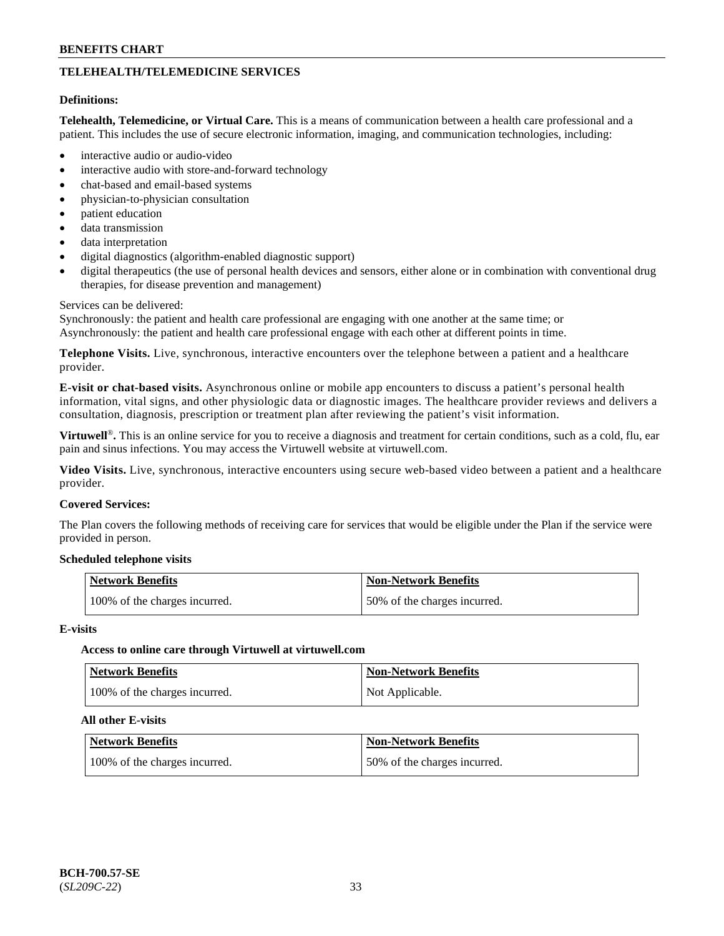## **TELEHEALTH/TELEMEDICINE SERVICES**

#### **Definitions:**

**Telehealth, Telemedicine, or Virtual Care.** This is a means of communication between a health care professional and a patient. This includes the use of secure electronic information, imaging, and communication technologies, including:

- interactive audio or audio-video
- interactive audio with store-and-forward technology
- chat-based and email-based systems
- physician-to-physician consultation
- patient education
- data transmission
- data interpretation
- digital diagnostics (algorithm-enabled diagnostic support)
- digital therapeutics (the use of personal health devices and sensors, either alone or in combination with conventional drug therapies, for disease prevention and management)

#### Services can be delivered:

Synchronously: the patient and health care professional are engaging with one another at the same time; or Asynchronously: the patient and health care professional engage with each other at different points in time.

**Telephone Visits.** Live, synchronous, interactive encounters over the telephone between a patient and a healthcare provider.

**E-visit or chat-based visits.** Asynchronous online or mobile app encounters to discuss a patient's personal health information, vital signs, and other physiologic data or diagnostic images. The healthcare provider reviews and delivers a consultation, diagnosis, prescription or treatment plan after reviewing the patient's visit information.

**Virtuwell<sup>®</sup>**. This is an online service for you to receive a diagnosis and treatment for certain conditions, such as a cold, flu, ear pain and sinus infections. You may access the Virtuwell website at [virtuwell.com.](https://www.virtuwell.com/)

**Video Visits.** Live, synchronous, interactive encounters using secure web-based video between a patient and a healthcare provider.

#### **Covered Services:**

The Plan covers the following methods of receiving care for services that would be eligible under the Plan if the service were provided in person.

#### **Scheduled telephone visits**

| Network Benefits              | <b>Non-Network Benefits</b>  |
|-------------------------------|------------------------------|
| 100% of the charges incurred. | 50% of the charges incurred. |

#### **E-visits**

### **Access to online care through Virtuwell at [virtuwell.com](https://www.virtuwell.com/)**

| <b>Network Benefits</b>       | <b>Non-Network Benefits</b> |
|-------------------------------|-----------------------------|
| 100% of the charges incurred. | Not Applicable.             |

#### **All other E-visits**

| <b>Network Benefits</b>       | <b>Non-Network Benefits</b>  |
|-------------------------------|------------------------------|
| 100% of the charges incurred. | 50% of the charges incurred. |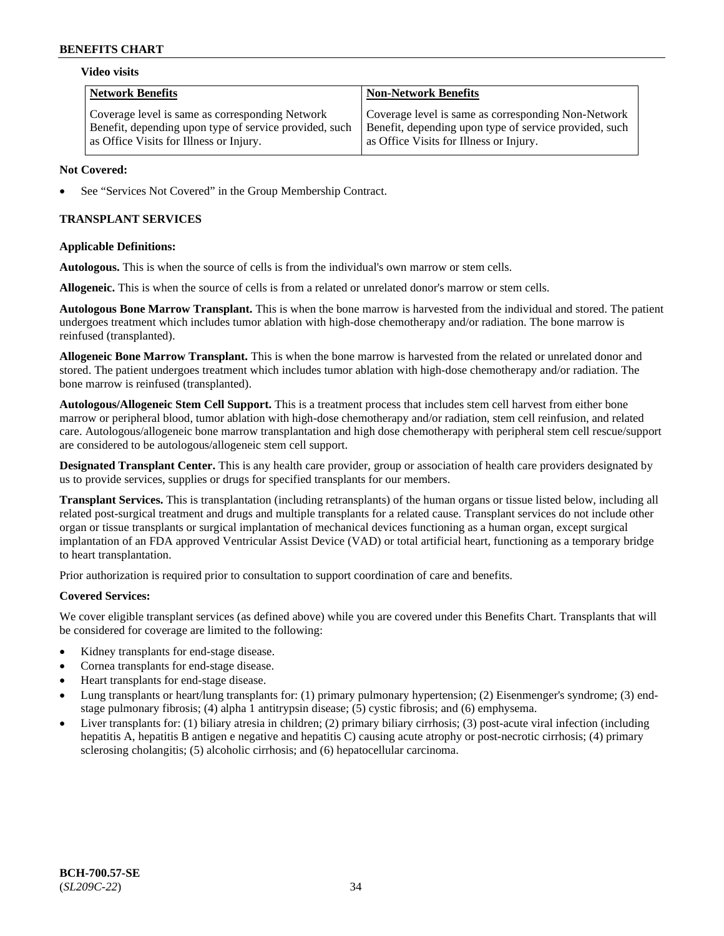#### **Video visits**

| <b>Network Benefits</b>                                | <b>Non-Network Benefits</b>                            |
|--------------------------------------------------------|--------------------------------------------------------|
| Coverage level is same as corresponding Network        | Coverage level is same as corresponding Non-Network    |
| Benefit, depending upon type of service provided, such | Benefit, depending upon type of service provided, such |
| as Office Visits for Illness or Injury.                | as Office Visits for Illness or Injury.                |

### **Not Covered:**

See "Services Not Covered" in the Group Membership Contract.

## **TRANSPLANT SERVICES**

### **Applicable Definitions:**

**Autologous.** This is when the source of cells is from the individual's own marrow or stem cells.

**Allogeneic.** This is when the source of cells is from a related or unrelated donor's marrow or stem cells.

**Autologous Bone Marrow Transplant.** This is when the bone marrow is harvested from the individual and stored. The patient undergoes treatment which includes tumor ablation with high-dose chemotherapy and/or radiation. The bone marrow is reinfused (transplanted).

**Allogeneic Bone Marrow Transplant.** This is when the bone marrow is harvested from the related or unrelated donor and stored. The patient undergoes treatment which includes tumor ablation with high-dose chemotherapy and/or radiation. The bone marrow is reinfused (transplanted).

**Autologous/Allogeneic Stem Cell Support.** This is a treatment process that includes stem cell harvest from either bone marrow or peripheral blood, tumor ablation with high-dose chemotherapy and/or radiation, stem cell reinfusion, and related care. Autologous/allogeneic bone marrow transplantation and high dose chemotherapy with peripheral stem cell rescue/support are considered to be autologous/allogeneic stem cell support.

**Designated Transplant Center.** This is any health care provider, group or association of health care providers designated by us to provide services, supplies or drugs for specified transplants for our members.

**Transplant Services.** This is transplantation (including retransplants) of the human organs or tissue listed below, including all related post-surgical treatment and drugs and multiple transplants for a related cause. Transplant services do not include other organ or tissue transplants or surgical implantation of mechanical devices functioning as a human organ, except surgical implantation of an FDA approved Ventricular Assist Device (VAD) or total artificial heart, functioning as a temporary bridge to heart transplantation.

Prior authorization is required prior to consultation to support coordination of care and benefits.

### **Covered Services:**

We cover eligible transplant services (as defined above) while you are covered under this Benefits Chart. Transplants that will be considered for coverage are limited to the following:

- Kidney transplants for end-stage disease.
- Cornea transplants for end-stage disease.
- Heart transplants for end-stage disease.
- Lung transplants or heart/lung transplants for: (1) primary pulmonary hypertension; (2) Eisenmenger's syndrome; (3) endstage pulmonary fibrosis; (4) alpha 1 antitrypsin disease; (5) cystic fibrosis; and (6) emphysema.
- Liver transplants for: (1) biliary atresia in children; (2) primary biliary cirrhosis; (3) post-acute viral infection (including hepatitis A, hepatitis B antigen e negative and hepatitis C) causing acute atrophy or post-necrotic cirrhosis; (4) primary sclerosing cholangitis; (5) alcoholic cirrhosis; and (6) hepatocellular carcinoma.